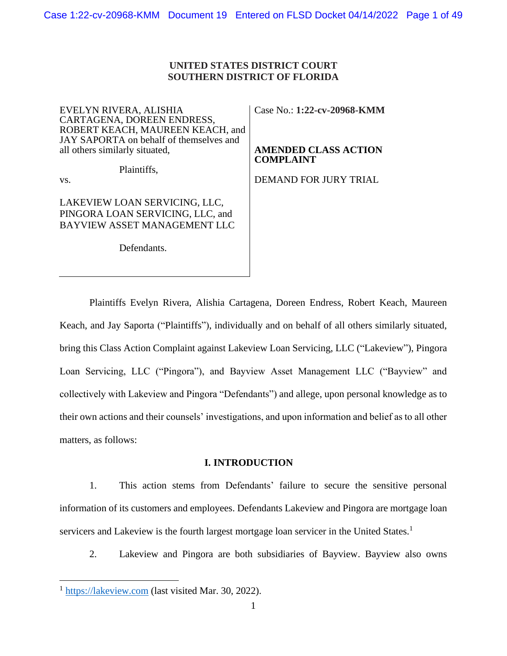# **UNITED STATES DISTRICT COURT SOUTHERN DISTRICT OF FLORIDA**

EVELYN RIVERA, ALISHIA CARTAGENA, DOREEN ENDRESS, ROBERT KEACH, MAUREEN KEACH, and JAY SAPORTA on behalf of themselves and all others similarly situated,

Plaintiffs,

vs.

LAKEVIEW LOAN SERVICING, LLC, PINGORA LOAN SERVICING, LLC, and BAYVIEW ASSET MANAGEMENT LLC

Defendants.

Case No.: **1:22-cv-20968-KMM**

**AMENDED CLASS ACTION COMPLAINT**

DEMAND FOR JURY TRIAL

Plaintiffs Evelyn Rivera, Alishia Cartagena, Doreen Endress, Robert Keach, Maureen Keach, and Jay Saporta ("Plaintiffs"), individually and on behalf of all others similarly situated, bring this Class Action Complaint against Lakeview Loan Servicing, LLC ("Lakeview"), Pingora Loan Servicing, LLC ("Pingora"), and Bayview Asset Management LLC ("Bayview" and collectively with Lakeview and Pingora "Defendants") and allege, upon personal knowledge as to their own actions and their counsels' investigations, and upon information and belief as to all other matters, as follows:

# **I. INTRODUCTION**

1. This action stems from Defendants' failure to secure the sensitive personal information of its customers and employees. Defendants Lakeview and Pingora are mortgage loan servicers and Lakeview is the fourth largest mortgage loan servicer in the United States.<sup>1</sup>

2. Lakeview and Pingora are both subsidiaries of Bayview. Bayview also owns

<sup>&</sup>lt;sup>1</sup> [https://lakeview.com](https://lakeview.com/) (last visited Mar. 30, 2022).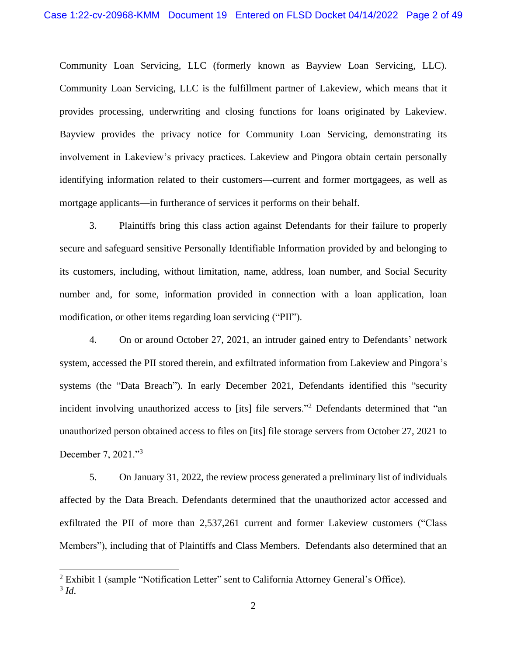Community Loan Servicing, LLC (formerly known as Bayview Loan Servicing, LLC). Community Loan Servicing, LLC is the fulfillment partner of Lakeview, which means that it provides processing, underwriting and closing functions for loans originated by Lakeview. Bayview provides the privacy notice for Community Loan Servicing, demonstrating its involvement in Lakeview's privacy practices. Lakeview and Pingora obtain certain personally identifying information related to their customers—current and former mortgagees, as well as mortgage applicants—in furtherance of services it performs on their behalf.

3. Plaintiffs bring this class action against Defendants for their failure to properly secure and safeguard sensitive Personally Identifiable Information provided by and belonging to its customers, including, without limitation, name, address, loan number, and Social Security number and, for some, information provided in connection with a loan application, loan modification, or other items regarding loan servicing ("PII").

4. On or around October 27, 2021, an intruder gained entry to Defendants' network system, accessed the PII stored therein, and exfiltrated information from Lakeview and Pingora's systems (the "Data Breach"). In early December 2021, Defendants identified this "security incident involving unauthorized access to [its] file servers."<sup>2</sup> Defendants determined that "an unauthorized person obtained access to files on [its] file storage servers from October 27, 2021 to December 7, 2021."<sup>3</sup>

5. On January 31, 2022, the review process generated a preliminary list of individuals affected by the Data Breach. Defendants determined that the unauthorized actor accessed and exfiltrated the PII of more than 2,537,261 current and former Lakeview customers ("Class Members"), including that of Plaintiffs and Class Members. Defendants also determined that an

<sup>&</sup>lt;sup>2</sup> Exhibit 1 (sample "Notification Letter" sent to California Attorney General's Office). 3 *Id*.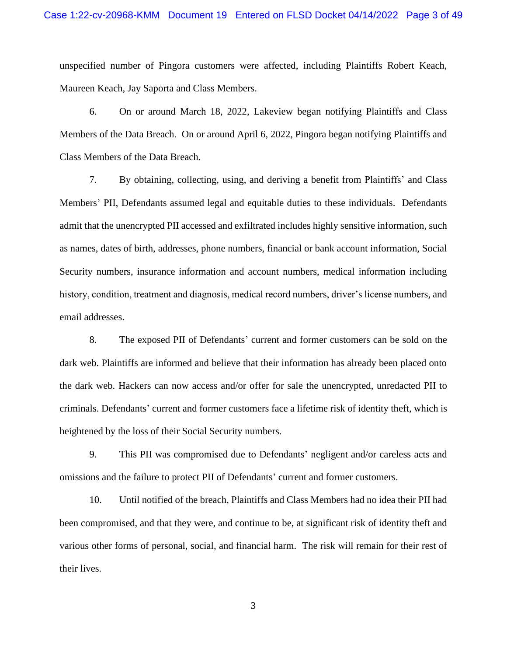unspecified number of Pingora customers were affected, including Plaintiffs Robert Keach, Maureen Keach, Jay Saporta and Class Members.

6. On or around March 18, 2022, Lakeview began notifying Plaintiffs and Class Members of the Data Breach. On or around April 6, 2022, Pingora began notifying Plaintiffs and Class Members of the Data Breach.

7. By obtaining, collecting, using, and deriving a benefit from Plaintiffs' and Class Members' PII, Defendants assumed legal and equitable duties to these individuals. Defendants admit that the unencrypted PII accessed and exfiltrated includes highly sensitive information, such as names, dates of birth, addresses, phone numbers, financial or bank account information, Social Security numbers, insurance information and account numbers, medical information including history, condition, treatment and diagnosis, medical record numbers, driver's license numbers, and email addresses.

8. The exposed PII of Defendants' current and former customers can be sold on the dark web. Plaintiffs are informed and believe that their information has already been placed onto the dark web. Hackers can now access and/or offer for sale the unencrypted, unredacted PII to criminals. Defendants' current and former customers face a lifetime risk of identity theft, which is heightened by the loss of their Social Security numbers.

9. This PII was compromised due to Defendants' negligent and/or careless acts and omissions and the failure to protect PII of Defendants' current and former customers.

10. Until notified of the breach, Plaintiffs and Class Members had no idea their PII had been compromised, and that they were, and continue to be, at significant risk of identity theft and various other forms of personal, social, and financial harm. The risk will remain for their rest of their lives.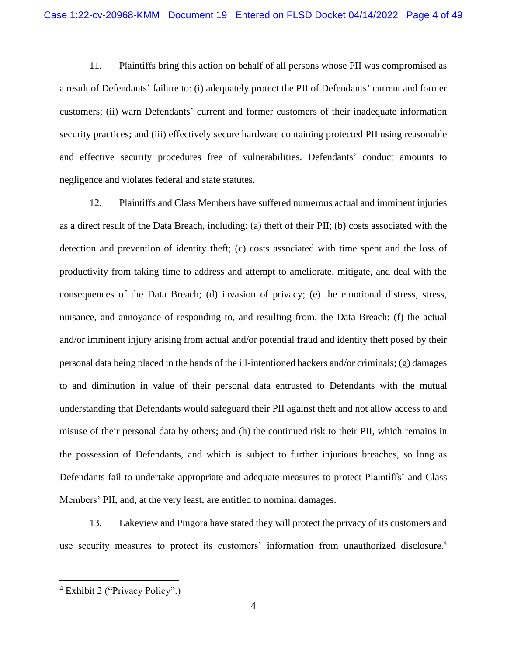11. Plaintiffs bring this action on behalf of all persons whose PII was compromised as a result of Defendants' failure to: (i) adequately protect the PII of Defendants' current and former customers; (ii) warn Defendants' current and former customers of their inadequate information security practices; and (iii) effectively secure hardware containing protected PII using reasonable and effective security procedures free of vulnerabilities. Defendants' conduct amounts to negligence and violates federal and state statutes.

12. Plaintiffs and Class Members have suffered numerous actual and imminent injuries as a direct result of the Data Breach, including: (a) theft of their PII; (b) costs associated with the detection and prevention of identity theft; (c) costs associated with time spent and the loss of productivity from taking time to address and attempt to ameliorate, mitigate, and deal with the consequences of the Data Breach; (d) invasion of privacy; (e) the emotional distress, stress, nuisance, and annoyance of responding to, and resulting from, the Data Breach; (f) the actual and/or imminent injury arising from actual and/or potential fraud and identity theft posed by their personal data being placed in the hands of the ill-intentioned hackers and/or criminals; (g) damages to and diminution in value of their personal data entrusted to Defendants with the mutual understanding that Defendants would safeguard their PII against theft and not allow access to and misuse of their personal data by others; and (h) the continued risk to their PII, which remains in the possession of Defendants, and which is subject to further injurious breaches, so long as Defendants fail to undertake appropriate and adequate measures to protect Plaintiffs' and Class Members' PII, and, at the very least, are entitled to nominal damages.

13. Lakeview and Pingora have stated they will protect the privacy of its customers and use security measures to protect its customers' information from unauthorized disclosure.<sup>4</sup>

<sup>4</sup> Exhibit 2 ("Privacy Policy".)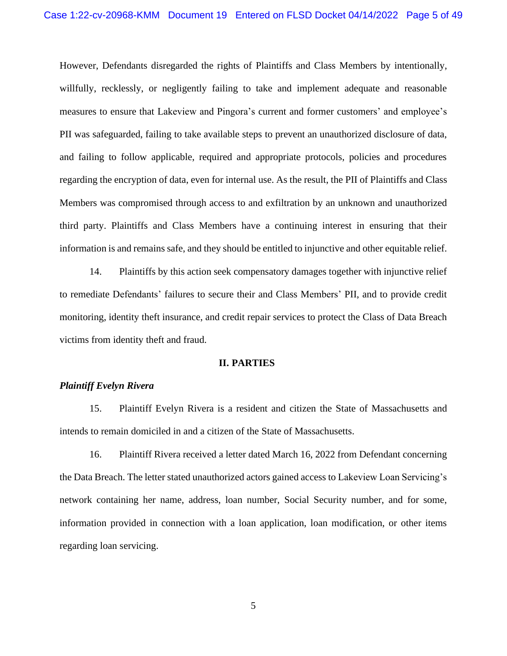However, Defendants disregarded the rights of Plaintiffs and Class Members by intentionally, willfully, recklessly, or negligently failing to take and implement adequate and reasonable measures to ensure that Lakeview and Pingora's current and former customers' and employee's PII was safeguarded, failing to take available steps to prevent an unauthorized disclosure of data, and failing to follow applicable, required and appropriate protocols, policies and procedures regarding the encryption of data, even for internal use. As the result, the PII of Plaintiffs and Class Members was compromised through access to and exfiltration by an unknown and unauthorized third party. Plaintiffs and Class Members have a continuing interest in ensuring that their information is and remains safe, and they should be entitled to injunctive and other equitable relief.

14. Plaintiffs by this action seek compensatory damages together with injunctive relief to remediate Defendants' failures to secure their and Class Members' PII, and to provide credit monitoring, identity theft insurance, and credit repair services to protect the Class of Data Breach victims from identity theft and fraud.

### **II. PARTIES**

### *Plaintiff Evelyn Rivera*

15. Plaintiff Evelyn Rivera is a resident and citizen the State of Massachusetts and intends to remain domiciled in and a citizen of the State of Massachusetts.

16. Plaintiff Rivera received a letter dated March 16, 2022 from Defendant concerning the Data Breach. The letter stated unauthorized actors gained access to Lakeview Loan Servicing's network containing her name, address, loan number, Social Security number, and for some, information provided in connection with a loan application, loan modification, or other items regarding loan servicing.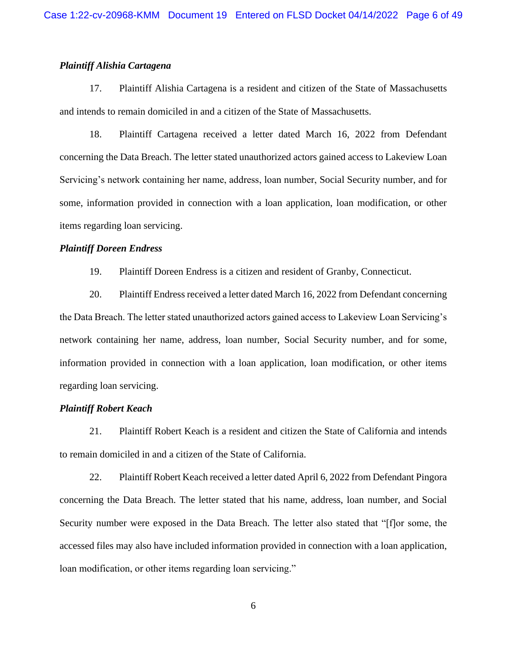## *Plaintiff Alishia Cartagena*

17. Plaintiff Alishia Cartagena is a resident and citizen of the State of Massachusetts and intends to remain domiciled in and a citizen of the State of Massachusetts.

18. Plaintiff Cartagena received a letter dated March 16, 2022 from Defendant concerning the Data Breach. The letter stated unauthorized actors gained access to Lakeview Loan Servicing's network containing her name, address, loan number, Social Security number, and for some, information provided in connection with a loan application, loan modification, or other items regarding loan servicing.

### *Plaintiff Doreen Endress*

19. Plaintiff Doreen Endress is a citizen and resident of Granby, Connecticut.

20. Plaintiff Endress received a letter dated March 16, 2022 from Defendant concerning the Data Breach. The letter stated unauthorized actors gained access to Lakeview Loan Servicing's network containing her name, address, loan number, Social Security number, and for some, information provided in connection with a loan application, loan modification, or other items regarding loan servicing.

## *Plaintiff Robert Keach*

21. Plaintiff Robert Keach is a resident and citizen the State of California and intends to remain domiciled in and a citizen of the State of California.

22. Plaintiff Robert Keach received a letter dated April 6, 2022 from Defendant Pingora concerning the Data Breach. The letter stated that his name, address, loan number, and Social Security number were exposed in the Data Breach. The letter also stated that "[f]or some, the accessed files may also have included information provided in connection with a loan application, loan modification, or other items regarding loan servicing."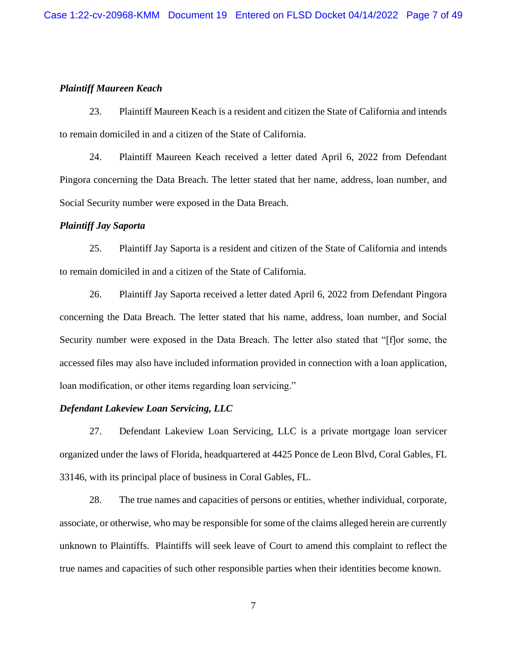## *Plaintiff Maureen Keach*

23. Plaintiff Maureen Keach is a resident and citizen the State of California and intends to remain domiciled in and a citizen of the State of California.

24. Plaintiff Maureen Keach received a letter dated April 6, 2022 from Defendant Pingora concerning the Data Breach. The letter stated that her name, address, loan number, and Social Security number were exposed in the Data Breach.

## *Plaintiff Jay Saporta*

25. Plaintiff Jay Saporta is a resident and citizen of the State of California and intends to remain domiciled in and a citizen of the State of California.

26. Plaintiff Jay Saporta received a letter dated April 6, 2022 from Defendant Pingora concerning the Data Breach. The letter stated that his name, address, loan number, and Social Security number were exposed in the Data Breach. The letter also stated that "[f]or some, the accessed files may also have included information provided in connection with a loan application, loan modification, or other items regarding loan servicing."

## *Defendant Lakeview Loan Servicing, LLC*

27. Defendant Lakeview Loan Servicing, LLC is a private mortgage loan servicer organized under the laws of Florida, headquartered at 4425 Ponce de Leon Blvd, Coral Gables, FL 33146, with its principal place of business in Coral Gables, FL.

28. The true names and capacities of persons or entities, whether individual, corporate, associate, or otherwise, who may be responsible for some of the claims alleged herein are currently unknown to Plaintiffs. Plaintiffs will seek leave of Court to amend this complaint to reflect the true names and capacities of such other responsible parties when their identities become known.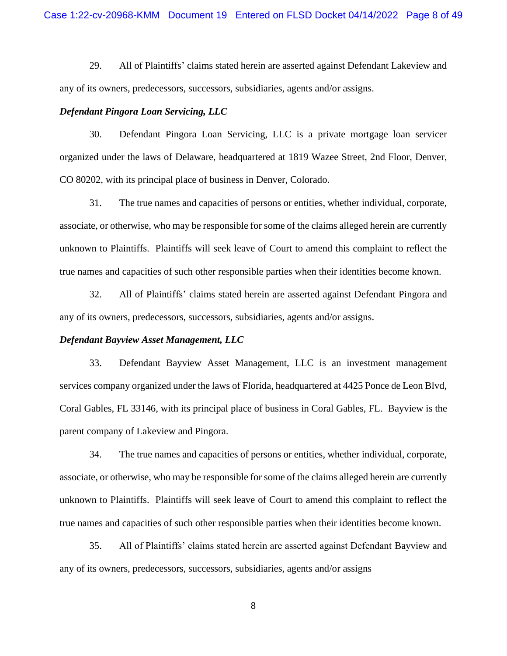29. All of Plaintiffs' claims stated herein are asserted against Defendant Lakeview and any of its owners, predecessors, successors, subsidiaries, agents and/or assigns.

### *Defendant Pingora Loan Servicing, LLC*

30. Defendant Pingora Loan Servicing, LLC is a private mortgage loan servicer organized under the laws of Delaware, headquartered at 1819 Wazee Street, 2nd Floor, Denver, CO 80202, with its principal place of business in Denver, Colorado.

31. The true names and capacities of persons or entities, whether individual, corporate, associate, or otherwise, who may be responsible for some of the claims alleged herein are currently unknown to Plaintiffs. Plaintiffs will seek leave of Court to amend this complaint to reflect the true names and capacities of such other responsible parties when their identities become known.

32. All of Plaintiffs' claims stated herein are asserted against Defendant Pingora and any of its owners, predecessors, successors, subsidiaries, agents and/or assigns.

### *Defendant Bayview Asset Management, LLC*

33. Defendant Bayview Asset Management, LLC is an investment management services company organized under the laws of Florida, headquartered at 4425 Ponce de Leon Blvd, Coral Gables, FL 33146, with its principal place of business in Coral Gables, FL. Bayview is the parent company of Lakeview and Pingora.

34. The true names and capacities of persons or entities, whether individual, corporate, associate, or otherwise, who may be responsible for some of the claims alleged herein are currently unknown to Plaintiffs. Plaintiffs will seek leave of Court to amend this complaint to reflect the true names and capacities of such other responsible parties when their identities become known.

35. All of Plaintiffs' claims stated herein are asserted against Defendant Bayview and any of its owners, predecessors, successors, subsidiaries, agents and/or assigns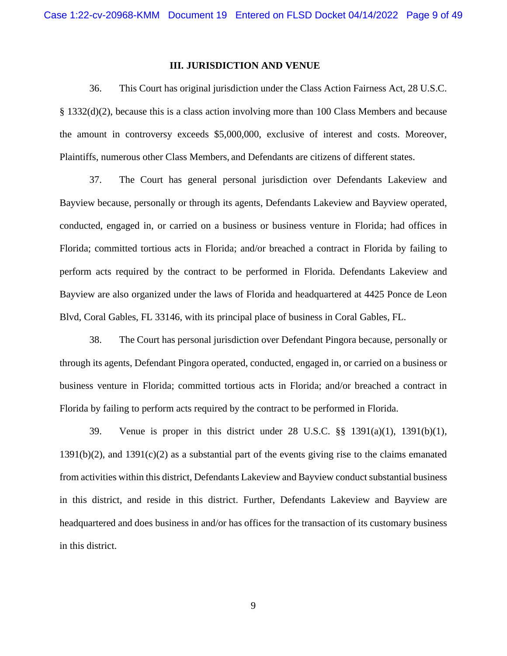### **III. JURISDICTION AND VENUE**

36. This Court has original jurisdiction under the Class Action Fairness Act, 28 U.S.C. § 1332(d)(2), because this is a class action involving more than 100 Class Members and because the amount in controversy exceeds \$5,000,000, exclusive of interest and costs. Moreover, Plaintiffs, numerous other Class Members, and Defendants are citizens of different states.

37. The Court has general personal jurisdiction over Defendants Lakeview and Bayview because, personally or through its agents, Defendants Lakeview and Bayview operated, conducted, engaged in, or carried on a business or business venture in Florida; had offices in Florida; committed tortious acts in Florida; and/or breached a contract in Florida by failing to perform acts required by the contract to be performed in Florida. Defendants Lakeview and Bayview are also organized under the laws of Florida and headquartered at 4425 Ponce de Leon Blvd, Coral Gables, FL 33146, with its principal place of business in Coral Gables, FL.

38. The Court has personal jurisdiction over Defendant Pingora because, personally or through its agents, Defendant Pingora operated, conducted, engaged in, or carried on a business or business venture in Florida; committed tortious acts in Florida; and/or breached a contract in Florida by failing to perform acts required by the contract to be performed in Florida.

39. Venue is proper in this district under 28 U.S.C. §§ 1391(a)(1), 1391(b)(1),  $1391(b)(2)$ , and  $1391(c)(2)$  as a substantial part of the events giving rise to the claims emanated from activities within this district, Defendants Lakeview and Bayview conduct substantial business in this district, and reside in this district. Further, Defendants Lakeview and Bayview are headquartered and does business in and/or has offices for the transaction of its customary business in this district.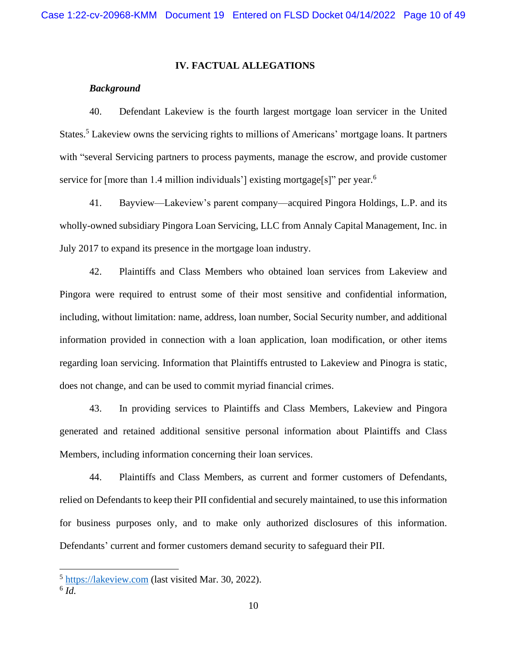## **IV. FACTUAL ALLEGATIONS**

# *Background*

40. Defendant Lakeview is the fourth largest mortgage loan servicer in the United States.<sup>5</sup> Lakeview owns the servicing rights to millions of Americans' mortgage loans. It partners with "several Servicing partners to process payments, manage the escrow, and provide customer service for [more than 1.4 million individuals'] existing mortgage[s]" per year.<sup>6</sup>

41. Bayview—Lakeview's parent company—acquired Pingora Holdings, L.P. and its wholly-owned subsidiary Pingora Loan Servicing, LLC from Annaly Capital Management, Inc. in July 2017 to expand its presence in the mortgage loan industry.

42. Plaintiffs and Class Members who obtained loan services from Lakeview and Pingora were required to entrust some of their most sensitive and confidential information, including, without limitation: name, address, loan number, Social Security number, and additional information provided in connection with a loan application, loan modification, or other items regarding loan servicing. Information that Plaintiffs entrusted to Lakeview and Pinogra is static, does not change, and can be used to commit myriad financial crimes.

43. In providing services to Plaintiffs and Class Members, Lakeview and Pingora generated and retained additional sensitive personal information about Plaintiffs and Class Members, including information concerning their loan services.

44. Plaintiffs and Class Members, as current and former customers of Defendants, relied on Defendants to keep their PII confidential and securely maintained, to use this information for business purposes only, and to make only authorized disclosures of this information. Defendants' current and former customers demand security to safeguard their PII.

<sup>&</sup>lt;sup>5</sup> [https://lakeview.com](https://lakeview.com/) (last visited Mar. 30, 2022).

<sup>6</sup> *Id.*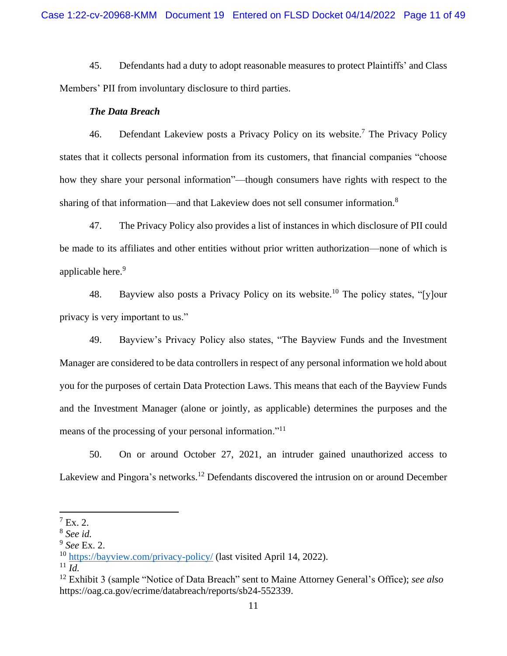45. Defendants had a duty to adopt reasonable measures to protect Plaintiffs' and Class Members' PII from involuntary disclosure to third parties.

#### *The Data Breach*

46. Defendant Lakeview posts a Privacy Policy on its website.<sup>7</sup> The Privacy Policy states that it collects personal information from its customers, that financial companies "choose how they share your personal information"—though consumers have rights with respect to the sharing of that information—and that Lakeview does not sell consumer information.<sup>8</sup>

47. The Privacy Policy also provides a list of instances in which disclosure of PII could be made to its affiliates and other entities without prior written authorization—none of which is applicable here.<sup>9</sup>

48. Bayview also posts a Privacy Policy on its website.<sup>10</sup> The policy states, "[y]our privacy is very important to us."

49. Bayview's Privacy Policy also states, "The Bayview Funds and the Investment Manager are considered to be data controllers in respect of any personal information we hold about you for the purposes of certain Data Protection Laws. This means that each of the Bayview Funds and the Investment Manager (alone or jointly, as applicable) determines the purposes and the means of the processing of your personal information."<sup>11</sup>

50. On or around October 27, 2021, an intruder gained unauthorized access to Lakeview and Pingora's networks.<sup>12</sup> Defendants discovered the intrusion on or around December

 $^7$  Ex. 2.

<sup>8</sup> *See id.* 

<sup>9</sup> *See* Ex. 2.

<sup>10</sup> <https://bayview.com/privacy-policy/> (last visited April 14, 2022).

 $11$  *Id.* 

<sup>12</sup> Exhibit 3 (sample "Notice of Data Breach" sent to Maine Attorney General's Office); *see also* https://oag.ca.gov/ecrime/databreach/reports/sb24-552339.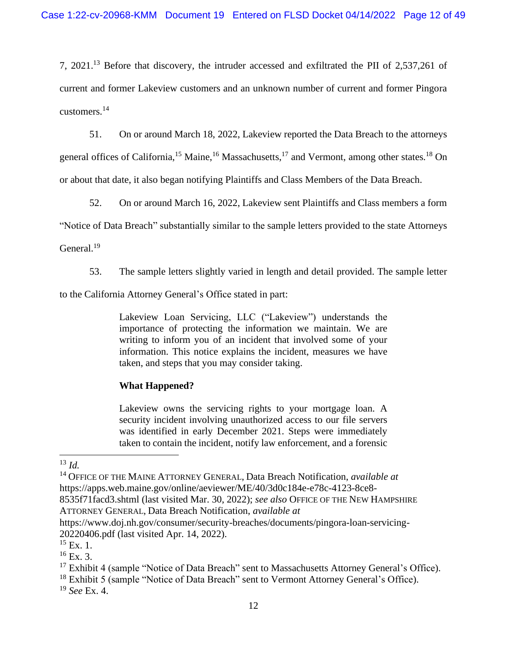7, 2021.<sup>13</sup> Before that discovery, the intruder accessed and exfiltrated the PII of 2,537,261 of current and former Lakeview customers and an unknown number of current and former Pingora customers. 14

51. On or around March 18, 2022, Lakeview reported the Data Breach to the attorneys general offices of California,<sup>15</sup> Maine,<sup>16</sup> Massachusetts,<sup>17</sup> and Vermont, among other states.<sup>18</sup> On or about that date, it also began notifying Plaintiffs and Class Members of the Data Breach.

52. On or around March 16, 2022, Lakeview sent Plaintiffs and Class members a form

"Notice of Data Breach" substantially similar to the sample letters provided to the state Attorneys

General.<sup>19</sup>

53. The sample letters slightly varied in length and detail provided. The sample letter

to the California Attorney General's Office stated in part:

Lakeview Loan Servicing, LLC ("Lakeview") understands the importance of protecting the information we maintain. We are writing to inform you of an incident that involved some of your information. This notice explains the incident, measures we have taken, and steps that you may consider taking.

# **What Happened?**

Lakeview owns the servicing rights to your mortgage loan. A security incident involving unauthorized access to our file servers was identified in early December 2021. Steps were immediately taken to contain the incident, notify law enforcement, and a forensic

<sup>13</sup> *Id.*

<sup>14</sup> OFFICE OF THE MAINE ATTORNEY GENERAL, Data Breach Notification, *available at*  https://apps.web.maine.gov/online/aeviewer/ME/40/3d0c184e-e78c-4123-8ce8- 8535f71facd3.shtml (last visited Mar. 30, 2022); *see also* OFFICE OF THE NEW HAMPSHIRE

ATTORNEY GENERAL, Data Breach Notification, *available at*

https://www.doj.nh.gov/consumer/security-breaches/documents/pingora-loan-servicing-20220406.pdf (last visited Apr. 14, 2022).

 $^{15}$  Ex. 1.

 $16$  Ex. 3.

 $17$  Exhibit 4 (sample "Notice of Data Breach" sent to Massachusetts Attorney General's Office).

<sup>&</sup>lt;sup>18</sup> Exhibit 5 (sample "Notice of Data Breach" sent to Vermont Attorney General's Office).

<sup>19</sup> *See* Ex. 4.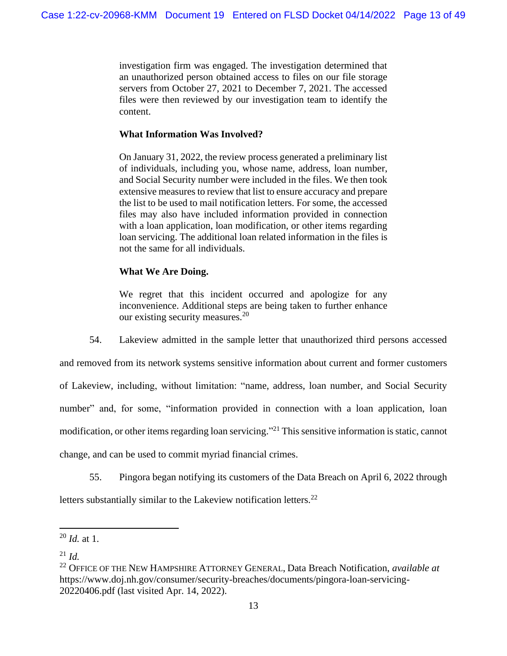investigation firm was engaged. The investigation determined that an unauthorized person obtained access to files on our file storage servers from October 27, 2021 to December 7, 2021. The accessed files were then reviewed by our investigation team to identify the content.

# **What Information Was Involved?**

On January 31, 2022, the review process generated a preliminary list of individuals, including you, whose name, address, loan number, and Social Security number were included in the files. We then took extensive measures to review that list to ensure accuracy and prepare the list to be used to mail notification letters. For some, the accessed files may also have included information provided in connection with a loan application, loan modification, or other items regarding loan servicing. The additional loan related information in the files is not the same for all individuals.

# **What We Are Doing.**

We regret that this incident occurred and apologize for any inconvenience. Additional steps are being taken to further enhance our existing security measures.<sup>20</sup>

54. Lakeview admitted in the sample letter that unauthorized third persons accessed and removed from its network systems sensitive information about current and former customers of Lakeview, including, without limitation: "name, address, loan number, and Social Security number" and, for some, "information provided in connection with a loan application, loan modification, or other items regarding loan servicing."<sup>21</sup> This sensitive information is static, cannot

change, and can be used to commit myriad financial crimes.

55. Pingora began notifying its customers of the Data Breach on April 6, 2022 through letters substantially similar to the Lakeview notification letters.<sup>22</sup>

<sup>20</sup> *Id.* at 1.

<sup>21</sup> *Id.*

<sup>22</sup> OFFICE OF THE NEW HAMPSHIRE ATTORNEY GENERAL, Data Breach Notification, *available at* https://www.doj.nh.gov/consumer/security-breaches/documents/pingora-loan-servicing-20220406.pdf (last visited Apr. 14, 2022).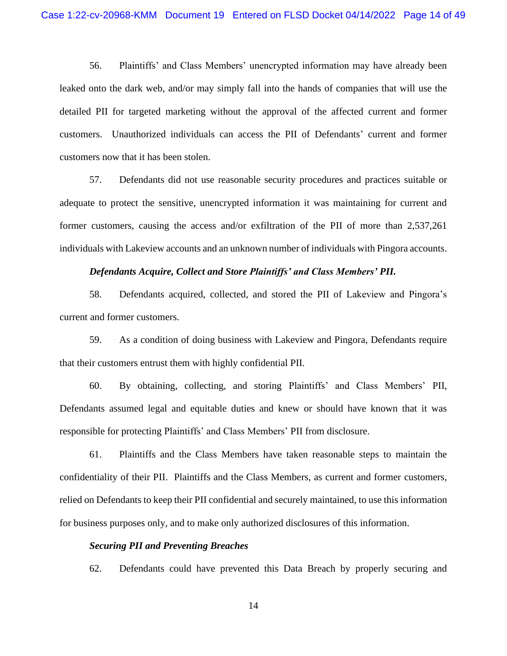56. Plaintiffs' and Class Members' unencrypted information may have already been leaked onto the dark web, and/or may simply fall into the hands of companies that will use the detailed PII for targeted marketing without the approval of the affected current and former customers. Unauthorized individuals can access the PII of Defendants' current and former customers now that it has been stolen.

57. Defendants did not use reasonable security procedures and practices suitable or adequate to protect the sensitive, unencrypted information it was maintaining for current and former customers, causing the access and/or exfiltration of the PII of more than 2,537,261 individuals with Lakeview accounts and an unknown number of individuals with Pingora accounts.

## *Defendants Acquire, Collect and Store Plaintiffs' and Class Members' PII.*

58. Defendants acquired, collected, and stored the PII of Lakeview and Pingora's current and former customers.

59. As a condition of doing business with Lakeview and Pingora, Defendants require that their customers entrust them with highly confidential PII.

60. By obtaining, collecting, and storing Plaintiffs' and Class Members' PII, Defendants assumed legal and equitable duties and knew or should have known that it was responsible for protecting Plaintiffs' and Class Members' PII from disclosure.

61. Plaintiffs and the Class Members have taken reasonable steps to maintain the confidentiality of their PII. Plaintiffs and the Class Members, as current and former customers, relied on Defendants to keep their PII confidential and securely maintained, to use this information for business purposes only, and to make only authorized disclosures of this information.

#### *Securing PII and Preventing Breaches*

62. Defendants could have prevented this Data Breach by properly securing and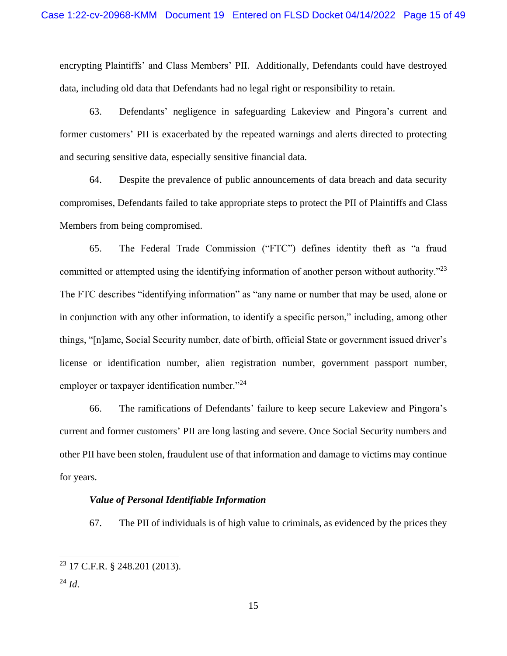encrypting Plaintiffs' and Class Members' PII. Additionally, Defendants could have destroyed data, including old data that Defendants had no legal right or responsibility to retain.

63. Defendants' negligence in safeguarding Lakeview and Pingora's current and former customers' PII is exacerbated by the repeated warnings and alerts directed to protecting and securing sensitive data, especially sensitive financial data.

64. Despite the prevalence of public announcements of data breach and data security compromises, Defendants failed to take appropriate steps to protect the PII of Plaintiffs and Class Members from being compromised.

65. The Federal Trade Commission ("FTC") defines identity theft as "a fraud committed or attempted using the identifying information of another person without authority."<sup>23</sup> The FTC describes "identifying information" as "any name or number that may be used, alone or in conjunction with any other information, to identify a specific person," including, among other things, "[n]ame, Social Security number, date of birth, official State or government issued driver's license or identification number, alien registration number, government passport number, employer or taxpayer identification number."<sup>24</sup>

66. The ramifications of Defendants' failure to keep secure Lakeview and Pingora's current and former customers' PII are long lasting and severe. Once Social Security numbers and other PII have been stolen, fraudulent use of that information and damage to victims may continue for years.

## *Value of Personal Identifiable Information*

67. The PII of individuals is of high value to criminals, as evidenced by the prices they

<sup>23</sup> 17 C.F.R. § 248.201 (2013).

 $^{24}$  *Id.*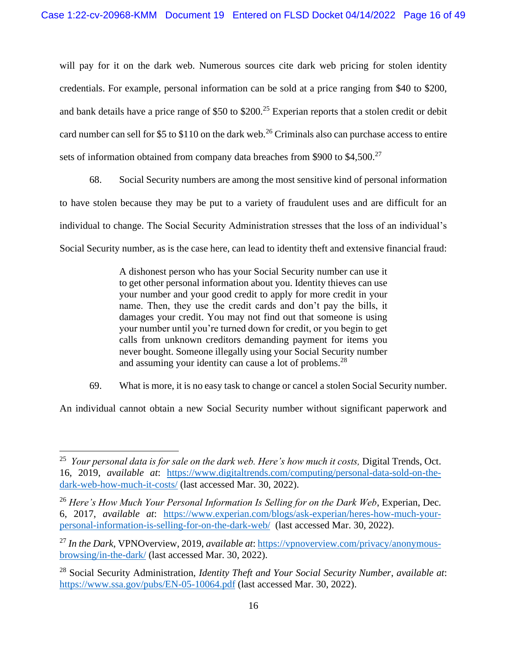will pay for it on the dark web. Numerous sources cite dark web pricing for stolen identity credentials. For example, personal information can be sold at a price ranging from \$40 to \$200, and bank details have a price range of \$50 to \$200.<sup>25</sup> Experian reports that a stolen credit or debit card number can sell for \$5 to \$110 on the dark web.<sup>26</sup> Criminals also can purchase access to entire sets of information obtained from company data breaches from \$900 to \$4,500.<sup>27</sup>

68. Social Security numbers are among the most sensitive kind of personal information to have stolen because they may be put to a variety of fraudulent uses and are difficult for an individual to change. The Social Security Administration stresses that the loss of an individual's Social Security number, as is the case here, can lead to identity theft and extensive financial fraud:

> A dishonest person who has your Social Security number can use it to get other personal information about you. Identity thieves can use your number and your good credit to apply for more credit in your name. Then, they use the credit cards and don't pay the bills, it damages your credit. You may not find out that someone is using your number until you're turned down for credit, or you begin to get calls from unknown creditors demanding payment for items you never bought. Someone illegally using your Social Security number and assuming your identity can cause a lot of problems.<sup>28</sup>

69. What is more, it is no easy task to change or cancel a stolen Social Security number.

An individual cannot obtain a new Social Security number without significant paperwork and

<sup>&</sup>lt;sup>25</sup> Your personal data is for sale on the dark web. Here's how much it costs, Digital Trends, Oct. 16, 2019, *available at*: [https://www.digitaltrends.com/computing/personal-data-sold-on-the](https://www.digitaltrends.com/computing/personal-data-sold-on-the-dark-web-how-much-it-costs/)[dark-web-how-much-it-costs/](https://www.digitaltrends.com/computing/personal-data-sold-on-the-dark-web-how-much-it-costs/) (last accessed Mar. 30, 2022).

<sup>26</sup> *Here's How Much Your Personal Information Is Selling for on the Dark Web*, Experian, Dec. 6, 2017, *available at*: [https://www.experian.com/blogs/ask-experian/heres-how-much-your](https://www.experian.com/blogs/ask-experian/heres-how-much-your-personal-information-is-selling-for-on-the-dark-web/)[personal-information-is-selling-for-on-the-dark-web/](https://www.experian.com/blogs/ask-experian/heres-how-much-your-personal-information-is-selling-for-on-the-dark-web/) (last accessed Mar. 30, 2022).

<sup>27</sup> *In the Dark*, VPNOverview, 2019, *available at*: [https://vpnoverview.com/privacy/anonymous](https://vpnoverview.com/privacy/anonymous-browsing/in-the-dark/)[browsing/in-the-dark/](https://vpnoverview.com/privacy/anonymous-browsing/in-the-dark/) (last accessed Mar. 30, 2022).

<sup>28</sup> Social Security Administration, *Identity Theft and Your Social Security Number*, *available at*: <https://www.ssa.gov/pubs/EN-05-10064.pdf> (last accessed Mar. 30, 2022).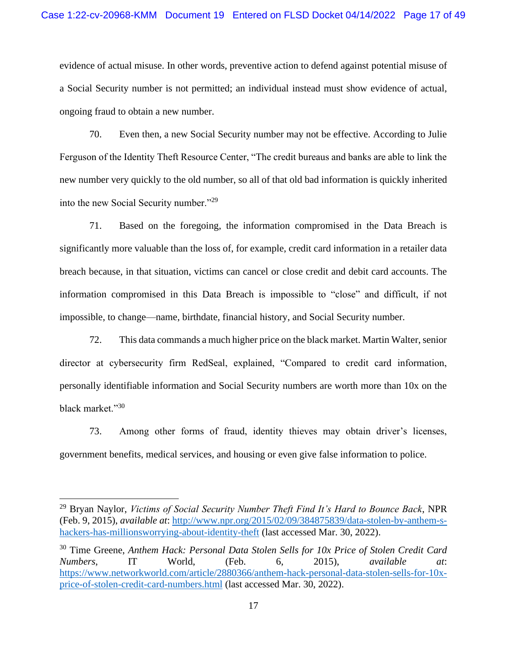evidence of actual misuse. In other words, preventive action to defend against potential misuse of a Social Security number is not permitted; an individual instead must show evidence of actual, ongoing fraud to obtain a new number.

70. Even then, a new Social Security number may not be effective. According to Julie Ferguson of the Identity Theft Resource Center, "The credit bureaus and banks are able to link the new number very quickly to the old number, so all of that old bad information is quickly inherited into the new Social Security number."<sup>29</sup>

71. Based on the foregoing, the information compromised in the Data Breach is significantly more valuable than the loss of, for example, credit card information in a retailer data breach because, in that situation, victims can cancel or close credit and debit card accounts. The information compromised in this Data Breach is impossible to "close" and difficult, if not impossible, to change—name, birthdate, financial history, and Social Security number.

72. This data commands a much higher price on the black market. Martin Walter, senior director at cybersecurity firm RedSeal, explained, "Compared to credit card information, personally identifiable information and Social Security numbers are worth more than 10x on the black market."<sup>30</sup>

73. Among other forms of fraud, identity thieves may obtain driver's licenses, government benefits, medical services, and housing or even give false information to police.

<sup>29</sup> Bryan Naylor, *Victims of Social Security Number Theft Find It's Hard to Bounce Back*, NPR (Feb. 9, 2015), *available at*: [http://www.npr.org/2015/02/09/384875839/data-stolen-by-anthem-s](http://www.npr.org/2015/02/09/384875839/data-stolen-by-anthem-s-hackers-has-millionsworrying-about-identity-theft)[hackers-has-millionsworrying-about-identity-theft](http://www.npr.org/2015/02/09/384875839/data-stolen-by-anthem-s-hackers-has-millionsworrying-about-identity-theft) (last accessed Mar. 30, 2022).

<sup>30</sup> Time Greene, *Anthem Hack: Personal Data Stolen Sells for 10x Price of Stolen Credit Card Numbers*, IT World, (Feb. 6, 2015), *available at*: [https://www.networkworld.com/article/2880366/anthem-hack-personal-data-stolen-sells-for-10x](https://www.networkworld.com/article/2880366/anthem-hack-personal-data-stolen-sells-for-10x-price-of-stolen-credit-card-numbers.html)[price-of-stolen-credit-card-numbers.html](https://www.networkworld.com/article/2880366/anthem-hack-personal-data-stolen-sells-for-10x-price-of-stolen-credit-card-numbers.html) (last accessed Mar. 30, 2022).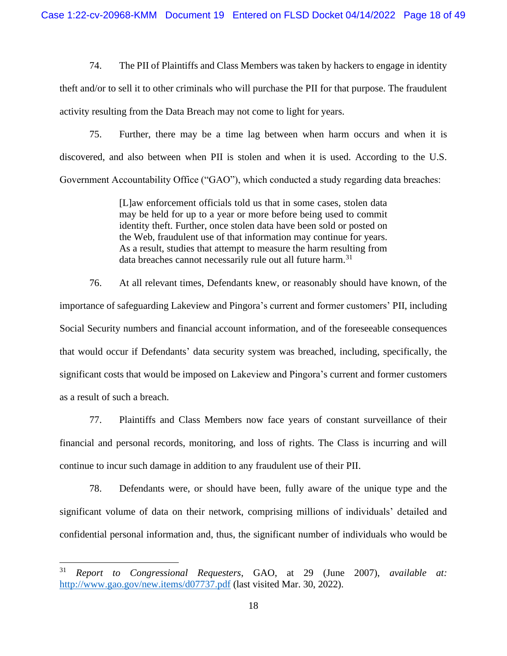74. The PII of Plaintiffs and Class Members was taken by hackers to engage in identity theft and/or to sell it to other criminals who will purchase the PII for that purpose. The fraudulent activity resulting from the Data Breach may not come to light for years.

75. Further, there may be a time lag between when harm occurs and when it is discovered, and also between when PII is stolen and when it is used. According to the U.S. Government Accountability Office ("GAO"), which conducted a study regarding data breaches:

> [L]aw enforcement officials told us that in some cases, stolen data may be held for up to a year or more before being used to commit identity theft. Further, once stolen data have been sold or posted on the Web, fraudulent use of that information may continue for years. As a result, studies that attempt to measure the harm resulting from data breaches cannot necessarily rule out all future harm.<sup>31</sup>

76. At all relevant times, Defendants knew, or reasonably should have known, of the importance of safeguarding Lakeview and Pingora's current and former customers' PII, including Social Security numbers and financial account information, and of the foreseeable consequences that would occur if Defendants' data security system was breached, including, specifically, the significant costs that would be imposed on Lakeview and Pingora's current and former customers as a result of such a breach.

77. Plaintiffs and Class Members now face years of constant surveillance of their financial and personal records, monitoring, and loss of rights. The Class is incurring and will continue to incur such damage in addition to any fraudulent use of their PII.

78. Defendants were, or should have been, fully aware of the unique type and the significant volume of data on their network, comprising millions of individuals' detailed and confidential personal information and, thus, the significant number of individuals who would be

<sup>31</sup> *Report to Congressional Requesters*, GAO, at 29 (June 2007), *available at:*  [http://www.gao.gov/new.items/d07737.pdf](www.gao.gov/new.items/d07737.pdf) (last visited Mar. 30, 2022).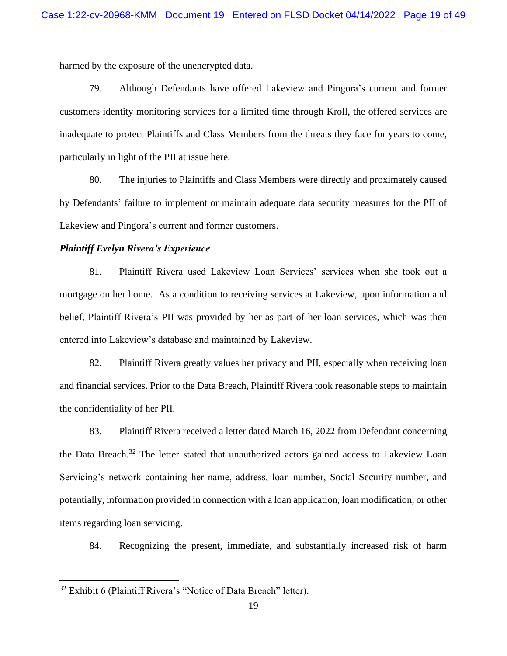harmed by the exposure of the unencrypted data.

79. Although Defendants have offered Lakeview and Pingora's current and former customers identity monitoring services for a limited time through Kroll, the offered services are inadequate to protect Plaintiffs and Class Members from the threats they face for years to come, particularly in light of the PII at issue here.

80. The injuries to Plaintiffs and Class Members were directly and proximately caused by Defendants' failure to implement or maintain adequate data security measures for the PII of Lakeview and Pingora's current and former customers.

## *Plaintiff Evelyn Rivera's Experience*

81. Plaintiff Rivera used Lakeview Loan Services' services when she took out a mortgage on her home. As a condition to receiving services at Lakeview, upon information and belief, Plaintiff Rivera's PII was provided by her as part of her loan services, which was then entered into Lakeview's database and maintained by Lakeview.

82. Plaintiff Rivera greatly values her privacy and PII, especially when receiving loan and financial services. Prior to the Data Breach, Plaintiff Rivera took reasonable steps to maintain the confidentiality of her PII.

83. Plaintiff Rivera received a letter dated March 16, 2022 from Defendant concerning the Data Breach.<sup>32</sup> The letter stated that unauthorized actors gained access to Lakeview Loan Servicing's network containing her name, address, loan number, Social Security number, and potentially, information provided in connection with a loan application, loan modification, or other items regarding loan servicing.

84. Recognizing the present, immediate, and substantially increased risk of harm

<sup>32</sup> Exhibit 6 (Plaintiff Rivera's "Notice of Data Breach" letter).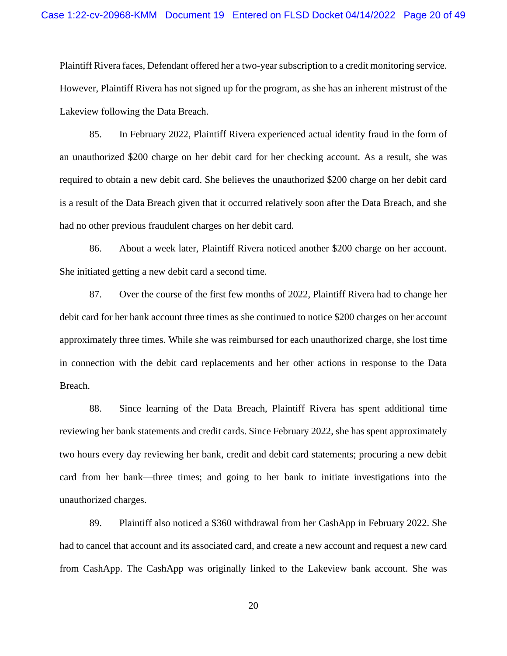Plaintiff Rivera faces, Defendant offered her a two-year subscription to a credit monitoring service. However, Plaintiff Rivera has not signed up for the program, as she has an inherent mistrust of the Lakeview following the Data Breach.

85. In February 2022, Plaintiff Rivera experienced actual identity fraud in the form of an unauthorized \$200 charge on her debit card for her checking account. As a result, she was required to obtain a new debit card. She believes the unauthorized \$200 charge on her debit card is a result of the Data Breach given that it occurred relatively soon after the Data Breach, and she had no other previous fraudulent charges on her debit card.

86. About a week later, Plaintiff Rivera noticed another \$200 charge on her account. She initiated getting a new debit card a second time.

87. Over the course of the first few months of 2022, Plaintiff Rivera had to change her debit card for her bank account three times as she continued to notice \$200 charges on her account approximately three times. While she was reimbursed for each unauthorized charge, she lost time in connection with the debit card replacements and her other actions in response to the Data Breach.

88. Since learning of the Data Breach, Plaintiff Rivera has spent additional time reviewing her bank statements and credit cards. Since February 2022, she has spent approximately two hours every day reviewing her bank, credit and debit card statements; procuring a new debit card from her bank—three times; and going to her bank to initiate investigations into the unauthorized charges.

89. Plaintiff also noticed a \$360 withdrawal from her CashApp in February 2022. She had to cancel that account and its associated card, and create a new account and request a new card from CashApp. The CashApp was originally linked to the Lakeview bank account. She was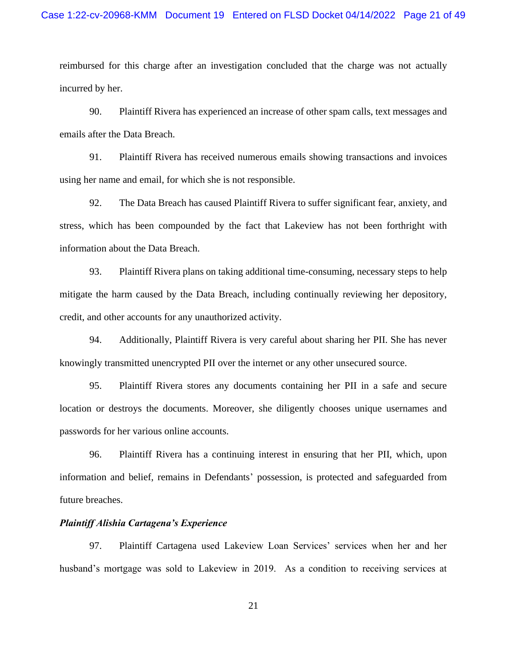reimbursed for this charge after an investigation concluded that the charge was not actually incurred by her.

90. Plaintiff Rivera has experienced an increase of other spam calls, text messages and emails after the Data Breach.

91. Plaintiff Rivera has received numerous emails showing transactions and invoices using her name and email, for which she is not responsible.

92. The Data Breach has caused Plaintiff Rivera to suffer significant fear, anxiety, and stress, which has been compounded by the fact that Lakeview has not been forthright with information about the Data Breach.

93. Plaintiff Rivera plans on taking additional time-consuming, necessary steps to help mitigate the harm caused by the Data Breach, including continually reviewing her depository, credit, and other accounts for any unauthorized activity.

94. Additionally, Plaintiff Rivera is very careful about sharing her PII. She has never knowingly transmitted unencrypted PII over the internet or any other unsecured source.

95. Plaintiff Rivera stores any documents containing her PII in a safe and secure location or destroys the documents. Moreover, she diligently chooses unique usernames and passwords for her various online accounts.

96. Plaintiff Rivera has a continuing interest in ensuring that her PII, which, upon information and belief, remains in Defendants' possession, is protected and safeguarded from future breaches.

### *Plaintiff Alishia Cartagena's Experience*

97. Plaintiff Cartagena used Lakeview Loan Services' services when her and her husband's mortgage was sold to Lakeview in 2019. As a condition to receiving services at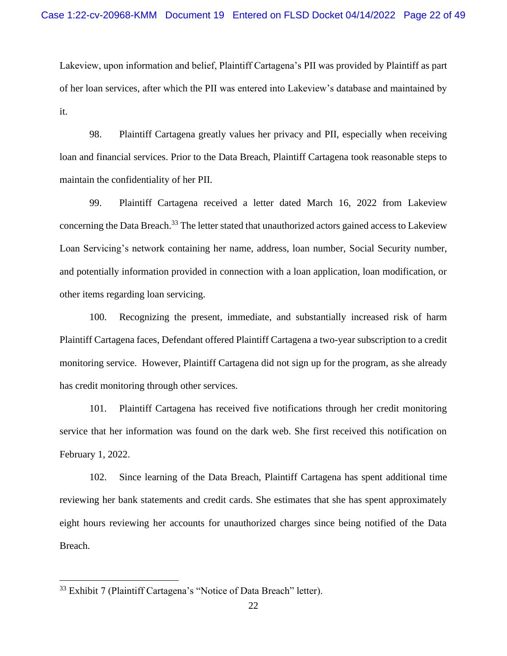Lakeview, upon information and belief, Plaintiff Cartagena's PII was provided by Plaintiff as part of her loan services, after which the PII was entered into Lakeview's database and maintained by it.

98. Plaintiff Cartagena greatly values her privacy and PII, especially when receiving loan and financial services. Prior to the Data Breach, Plaintiff Cartagena took reasonable steps to maintain the confidentiality of her PII.

99. Plaintiff Cartagena received a letter dated March 16, 2022 from Lakeview concerning the Data Breach.<sup>33</sup> The letter stated that unauthorized actors gained access to Lakeview Loan Servicing's network containing her name, address, loan number, Social Security number, and potentially information provided in connection with a loan application, loan modification, or other items regarding loan servicing.

100. Recognizing the present, immediate, and substantially increased risk of harm Plaintiff Cartagena faces, Defendant offered Plaintiff Cartagena a two-year subscription to a credit monitoring service. However, Plaintiff Cartagena did not sign up for the program, as she already has credit monitoring through other services.

101. Plaintiff Cartagena has received five notifications through her credit monitoring service that her information was found on the dark web. She first received this notification on February 1, 2022.

102. Since learning of the Data Breach, Plaintiff Cartagena has spent additional time reviewing her bank statements and credit cards. She estimates that she has spent approximately eight hours reviewing her accounts for unauthorized charges since being notified of the Data Breach.

<sup>33</sup> Exhibit 7 (Plaintiff Cartagena's "Notice of Data Breach" letter).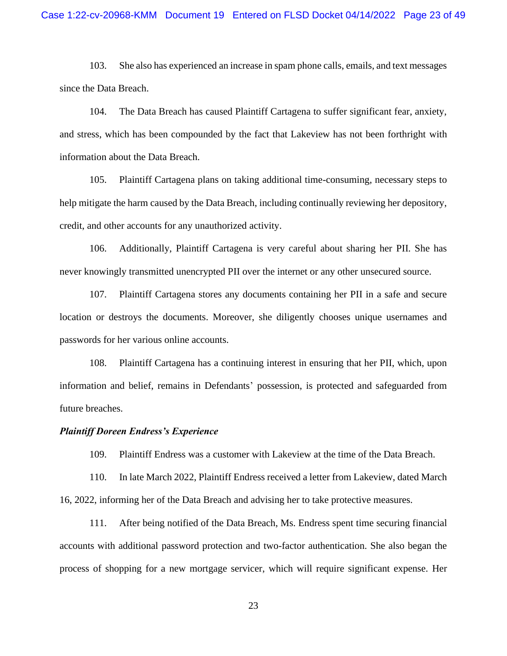103. She also has experienced an increase in spam phone calls, emails, and text messages since the Data Breach.

104. The Data Breach has caused Plaintiff Cartagena to suffer significant fear, anxiety, and stress, which has been compounded by the fact that Lakeview has not been forthright with information about the Data Breach.

105. Plaintiff Cartagena plans on taking additional time-consuming, necessary steps to help mitigate the harm caused by the Data Breach, including continually reviewing her depository, credit, and other accounts for any unauthorized activity.

106. Additionally, Plaintiff Cartagena is very careful about sharing her PII. She has never knowingly transmitted unencrypted PII over the internet or any other unsecured source.

107. Plaintiff Cartagena stores any documents containing her PII in a safe and secure location or destroys the documents. Moreover, she diligently chooses unique usernames and passwords for her various online accounts.

108. Plaintiff Cartagena has a continuing interest in ensuring that her PII, which, upon information and belief, remains in Defendants' possession, is protected and safeguarded from future breaches.

### *Plaintiff Doreen Endress's Experience*

109. Plaintiff Endress was a customer with Lakeview at the time of the Data Breach.

110. In late March 2022, Plaintiff Endress received a letter from Lakeview, dated March 16, 2022, informing her of the Data Breach and advising her to take protective measures.

111. After being notified of the Data Breach, Ms. Endress spent time securing financial accounts with additional password protection and two-factor authentication. She also began the process of shopping for a new mortgage servicer, which will require significant expense. Her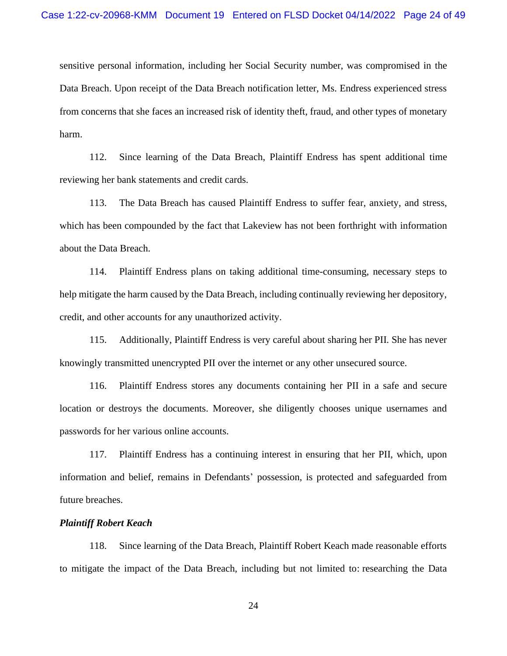sensitive personal information, including her Social Security number, was compromised in the Data Breach. Upon receipt of the Data Breach notification letter, Ms. Endress experienced stress from concerns that she faces an increased risk of identity theft, fraud, and other types of monetary harm.

112. Since learning of the Data Breach, Plaintiff Endress has spent additional time reviewing her bank statements and credit cards.

113. The Data Breach has caused Plaintiff Endress to suffer fear, anxiety, and stress, which has been compounded by the fact that Lakeview has not been forthright with information about the Data Breach.

114. Plaintiff Endress plans on taking additional time-consuming, necessary steps to help mitigate the harm caused by the Data Breach, including continually reviewing her depository, credit, and other accounts for any unauthorized activity.

115. Additionally, Plaintiff Endress is very careful about sharing her PII. She has never knowingly transmitted unencrypted PII over the internet or any other unsecured source.

116. Plaintiff Endress stores any documents containing her PII in a safe and secure location or destroys the documents. Moreover, she diligently chooses unique usernames and passwords for her various online accounts.

117. Plaintiff Endress has a continuing interest in ensuring that her PII, which, upon information and belief, remains in Defendants' possession, is protected and safeguarded from future breaches.

## *Plaintiff Robert Keach*

118. Since learning of the Data Breach, Plaintiff Robert Keach made reasonable efforts to mitigate the impact of the Data Breach, including but not limited to: researching the Data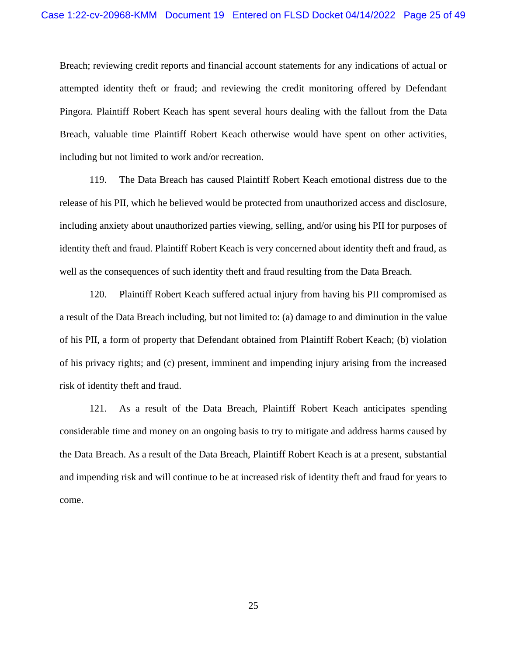Breach; reviewing credit reports and financial account statements for any indications of actual or attempted identity theft or fraud; and reviewing the credit monitoring offered by Defendant Pingora. Plaintiff Robert Keach has spent several hours dealing with the fallout from the Data Breach, valuable time Plaintiff Robert Keach otherwise would have spent on other activities, including but not limited to work and/or recreation.

119. The Data Breach has caused Plaintiff Robert Keach emotional distress due to the release of his PII, which he believed would be protected from unauthorized access and disclosure, including anxiety about unauthorized parties viewing, selling, and/or using his PII for purposes of identity theft and fraud. Plaintiff Robert Keach is very concerned about identity theft and fraud, as well as the consequences of such identity theft and fraud resulting from the Data Breach.

120. Plaintiff Robert Keach suffered actual injury from having his PII compromised as a result of the Data Breach including, but not limited to: (a) damage to and diminution in the value of his PII, a form of property that Defendant obtained from Plaintiff Robert Keach; (b) violation of his privacy rights; and (c) present, imminent and impending injury arising from the increased risk of identity theft and fraud.

121. As a result of the Data Breach, Plaintiff Robert Keach anticipates spending considerable time and money on an ongoing basis to try to mitigate and address harms caused by the Data Breach. As a result of the Data Breach, Plaintiff Robert Keach is at a present, substantial and impending risk and will continue to be at increased risk of identity theft and fraud for years to come.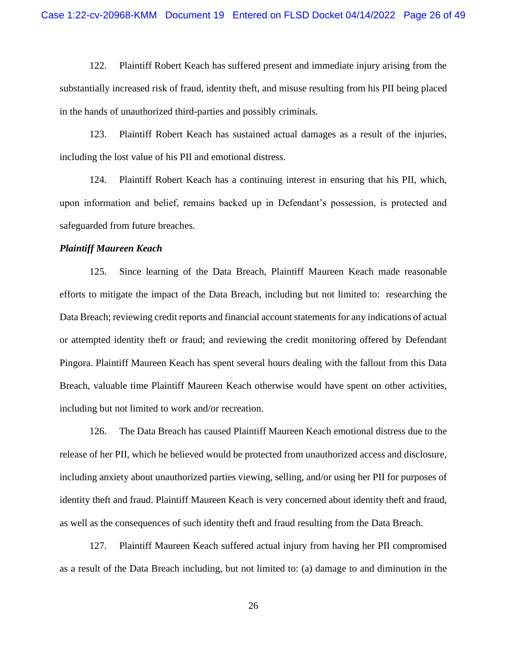122. Plaintiff Robert Keach has suffered present and immediate injury arising from the substantially increased risk of fraud, identity theft, and misuse resulting from his PII being placed in the hands of unauthorized third-parties and possibly criminals.

123. Plaintiff Robert Keach has sustained actual damages as a result of the injuries, including the lost value of his PII and emotional distress.

124. Plaintiff Robert Keach has a continuing interest in ensuring that his PII, which, upon information and belief, remains backed up in Defendant's possession, is protected and safeguarded from future breaches.

#### *Plaintiff Maureen Keach*

125. Since learning of the Data Breach, Plaintiff Maureen Keach made reasonable efforts to mitigate the impact of the Data Breach, including but not limited to: researching the Data Breach; reviewing credit reports and financial account statements for any indications of actual or attempted identity theft or fraud; and reviewing the credit monitoring offered by Defendant Pingora. Plaintiff Maureen Keach has spent several hours dealing with the fallout from this Data Breach, valuable time Plaintiff Maureen Keach otherwise would have spent on other activities, including but not limited to work and/or recreation.

126. The Data Breach has caused Plaintiff Maureen Keach emotional distress due to the release of her PII, which he believed would be protected from unauthorized access and disclosure, including anxiety about unauthorized parties viewing, selling, and/or using her PII for purposes of identity theft and fraud. Plaintiff Maureen Keach is very concerned about identity theft and fraud, as well as the consequences of such identity theft and fraud resulting from the Data Breach.

127. Plaintiff Maureen Keach suffered actual injury from having her PII compromised as a result of the Data Breach including, but not limited to: (a) damage to and diminution in the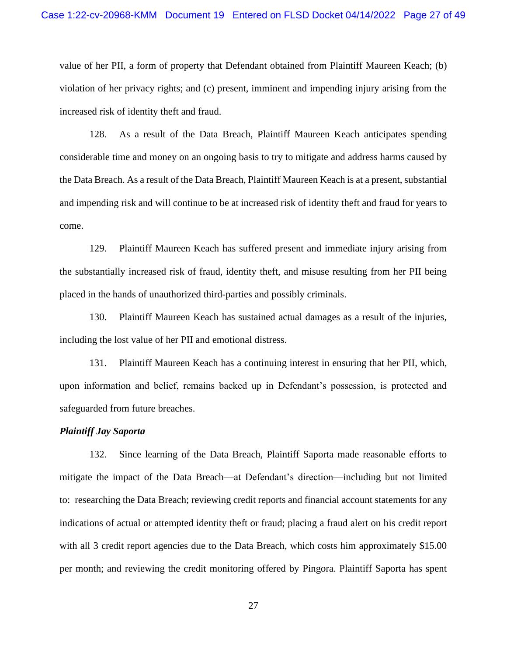value of her PII, a form of property that Defendant obtained from Plaintiff Maureen Keach; (b) violation of her privacy rights; and (c) present, imminent and impending injury arising from the increased risk of identity theft and fraud.

128. As a result of the Data Breach, Plaintiff Maureen Keach anticipates spending considerable time and money on an ongoing basis to try to mitigate and address harms caused by the Data Breach. As a result of the Data Breach, Plaintiff Maureen Keach is at a present, substantial and impending risk and will continue to be at increased risk of identity theft and fraud for years to come.

129. Plaintiff Maureen Keach has suffered present and immediate injury arising from the substantially increased risk of fraud, identity theft, and misuse resulting from her PII being placed in the hands of unauthorized third-parties and possibly criminals.

130. Plaintiff Maureen Keach has sustained actual damages as a result of the injuries, including the lost value of her PII and emotional distress.

131. Plaintiff Maureen Keach has a continuing interest in ensuring that her PII, which, upon information and belief, remains backed up in Defendant's possession, is protected and safeguarded from future breaches.

## *Plaintiff Jay Saporta*

132. Since learning of the Data Breach, Plaintiff Saporta made reasonable efforts to mitigate the impact of the Data Breach—at Defendant's direction—including but not limited to: researching the Data Breach; reviewing credit reports and financial account statements for any indications of actual or attempted identity theft or fraud; placing a fraud alert on his credit report with all 3 credit report agencies due to the Data Breach, which costs him approximately \$15.00 per month; and reviewing the credit monitoring offered by Pingora. Plaintiff Saporta has spent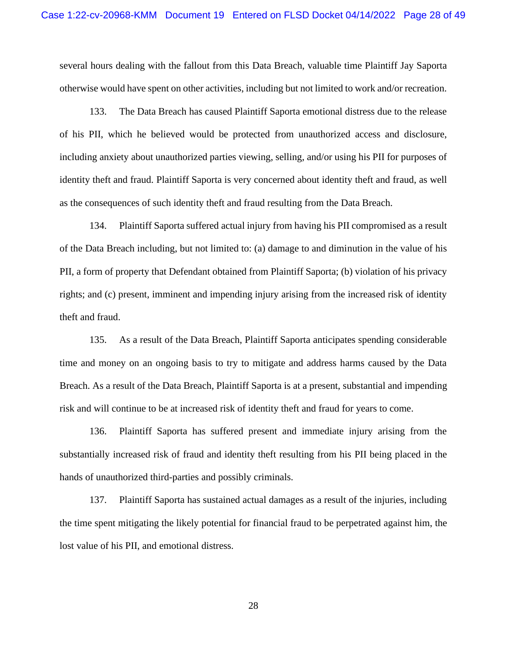several hours dealing with the fallout from this Data Breach, valuable time Plaintiff Jay Saporta otherwise would have spent on other activities, including but not limited to work and/or recreation.

133. The Data Breach has caused Plaintiff Saporta emotional distress due to the release of his PII, which he believed would be protected from unauthorized access and disclosure, including anxiety about unauthorized parties viewing, selling, and/or using his PII for purposes of identity theft and fraud. Plaintiff Saporta is very concerned about identity theft and fraud, as well as the consequences of such identity theft and fraud resulting from the Data Breach.

134. Plaintiff Saporta suffered actual injury from having his PII compromised as a result of the Data Breach including, but not limited to: (a) damage to and diminution in the value of his PII, a form of property that Defendant obtained from Plaintiff Saporta; (b) violation of his privacy rights; and (c) present, imminent and impending injury arising from the increased risk of identity theft and fraud.

135. As a result of the Data Breach, Plaintiff Saporta anticipates spending considerable time and money on an ongoing basis to try to mitigate and address harms caused by the Data Breach. As a result of the Data Breach, Plaintiff Saporta is at a present, substantial and impending risk and will continue to be at increased risk of identity theft and fraud for years to come.

136. Plaintiff Saporta has suffered present and immediate injury arising from the substantially increased risk of fraud and identity theft resulting from his PII being placed in the hands of unauthorized third-parties and possibly criminals.

137. Plaintiff Saporta has sustained actual damages as a result of the injuries, including the time spent mitigating the likely potential for financial fraud to be perpetrated against him, the lost value of his PII, and emotional distress.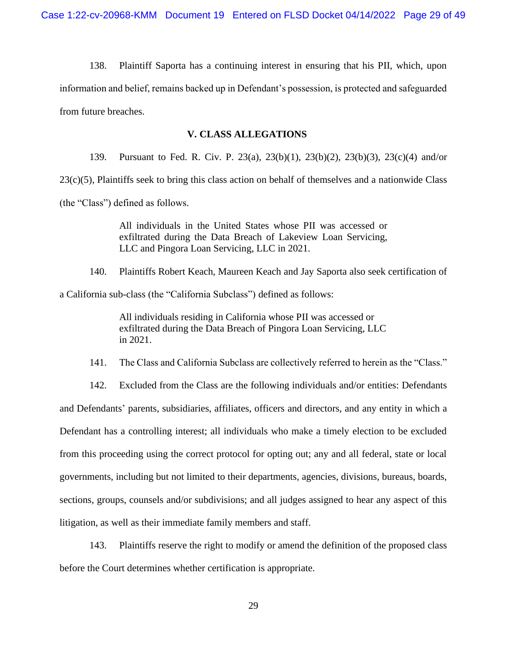138. Plaintiff Saporta has a continuing interest in ensuring that his PII, which, upon information and belief, remains backed up in Defendant's possession, is protected and safeguarded from future breaches.

# **V. CLASS ALLEGATIONS**

139. Pursuant to Fed. R. Civ. P. 23(a), 23(b)(1), 23(b)(2), 23(b)(3), 23(c)(4) and/or

23(c)(5), Plaintiffs seek to bring this class action on behalf of themselves and a nationwide Class

(the "Class") defined as follows.

All individuals in the United States whose PII was accessed or exfiltrated during the Data Breach of Lakeview Loan Servicing, LLC and Pingora Loan Servicing, LLC in 2021.

140. Plaintiffs Robert Keach, Maureen Keach and Jay Saporta also seek certification of a California sub-class (the "California Subclass") defined as follows:

> All individuals residing in California whose PII was accessed or exfiltrated during the Data Breach of Pingora Loan Servicing, LLC in 2021.

141. The Class and California Subclass are collectively referred to herein as the "Class."

142. Excluded from the Class are the following individuals and/or entities: Defendants and Defendants' parents, subsidiaries, affiliates, officers and directors, and any entity in which a Defendant has a controlling interest; all individuals who make a timely election to be excluded from this proceeding using the correct protocol for opting out; any and all federal, state or local governments, including but not limited to their departments, agencies, divisions, bureaus, boards, sections, groups, counsels and/or subdivisions; and all judges assigned to hear any aspect of this litigation, as well as their immediate family members and staff.

143. Plaintiffs reserve the right to modify or amend the definition of the proposed class before the Court determines whether certification is appropriate.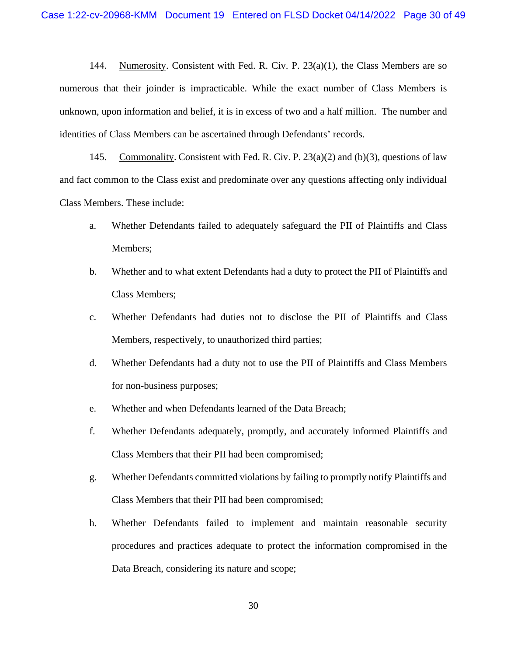144. Numerosity. Consistent with Fed. R. Civ. P. 23(a)(1), the Class Members are so numerous that their joinder is impracticable. While the exact number of Class Members is unknown, upon information and belief, it is in excess of two and a half million. The number and identities of Class Members can be ascertained through Defendants' records.

145. Commonality. Consistent with Fed. R. Civ. P. 23(a)(2) and (b)(3), questions of law and fact common to the Class exist and predominate over any questions affecting only individual Class Members. These include:

- a. Whether Defendants failed to adequately safeguard the PII of Plaintiffs and Class Members;
- b. Whether and to what extent Defendants had a duty to protect the PII of Plaintiffs and Class Members;
- c. Whether Defendants had duties not to disclose the PII of Plaintiffs and Class Members, respectively, to unauthorized third parties;
- d. Whether Defendants had a duty not to use the PII of Plaintiffs and Class Members for non-business purposes;
- e. Whether and when Defendants learned of the Data Breach;
- f. Whether Defendants adequately, promptly, and accurately informed Plaintiffs and Class Members that their PII had been compromised;
- g. Whether Defendants committed violations by failing to promptly notify Plaintiffs and Class Members that their PII had been compromised;
- h. Whether Defendants failed to implement and maintain reasonable security procedures and practices adequate to protect the information compromised in the Data Breach, considering its nature and scope;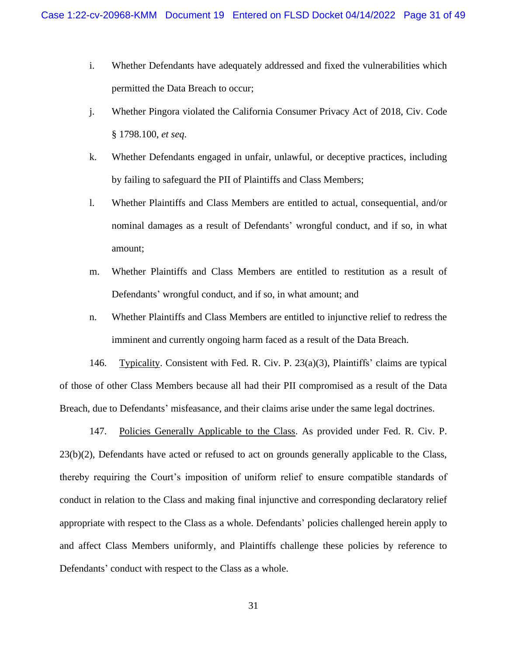- i. Whether Defendants have adequately addressed and fixed the vulnerabilities which permitted the Data Breach to occur;
- j. Whether Pingora violated the California Consumer Privacy Act of 2018, Civ. Code § 1798.100, *et seq*.
- k. Whether Defendants engaged in unfair, unlawful, or deceptive practices, including by failing to safeguard the PII of Plaintiffs and Class Members;
- l. Whether Plaintiffs and Class Members are entitled to actual, consequential, and/or nominal damages as a result of Defendants' wrongful conduct, and if so, in what amount;
- m. Whether Plaintiffs and Class Members are entitled to restitution as a result of Defendants' wrongful conduct, and if so, in what amount; and
- n. Whether Plaintiffs and Class Members are entitled to injunctive relief to redress the imminent and currently ongoing harm faced as a result of the Data Breach.

146. Typicality. Consistent with Fed. R. Civ. P. 23(a)(3), Plaintiffs' claims are typical of those of other Class Members because all had their PII compromised as a result of the Data Breach, due to Defendants' misfeasance, and their claims arise under the same legal doctrines.

147. Policies Generally Applicable to the Class. As provided under Fed. R. Civ. P. 23(b)(2), Defendants have acted or refused to act on grounds generally applicable to the Class, thereby requiring the Court's imposition of uniform relief to ensure compatible standards of conduct in relation to the Class and making final injunctive and corresponding declaratory relief appropriate with respect to the Class as a whole. Defendants' policies challenged herein apply to and affect Class Members uniformly, and Plaintiffs challenge these policies by reference to Defendants' conduct with respect to the Class as a whole.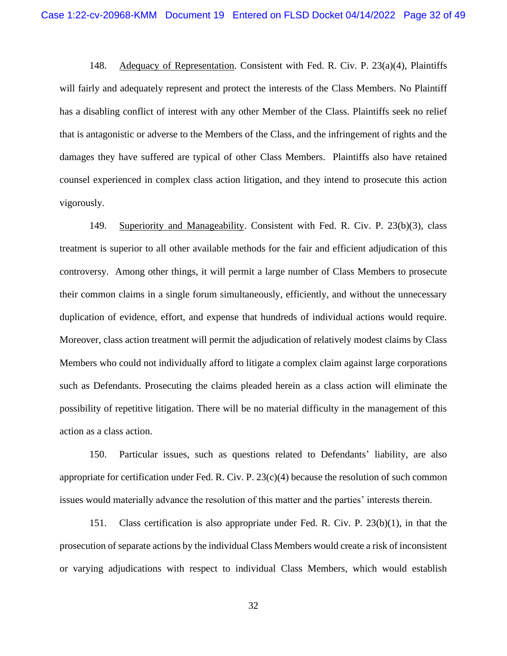148. Adequacy of Representation. Consistent with Fed. R. Civ. P. 23(a)(4), Plaintiffs will fairly and adequately represent and protect the interests of the Class Members. No Plaintiff has a disabling conflict of interest with any other Member of the Class. Plaintiffs seek no relief that is antagonistic or adverse to the Members of the Class, and the infringement of rights and the damages they have suffered are typical of other Class Members. Plaintiffs also have retained counsel experienced in complex class action litigation, and they intend to prosecute this action vigorously.

149. Superiority and Manageability. Consistent with Fed. R. Civ. P. 23(b)(3), class treatment is superior to all other available methods for the fair and efficient adjudication of this controversy. Among other things, it will permit a large number of Class Members to prosecute their common claims in a single forum simultaneously, efficiently, and without the unnecessary duplication of evidence, effort, and expense that hundreds of individual actions would require. Moreover, class action treatment will permit the adjudication of relatively modest claims by Class Members who could not individually afford to litigate a complex claim against large corporations such as Defendants. Prosecuting the claims pleaded herein as a class action will eliminate the possibility of repetitive litigation. There will be no material difficulty in the management of this action as a class action.

150. Particular issues, such as questions related to Defendants' liability, are also appropriate for certification under Fed. R. Civ. P.  $23(c)(4)$  because the resolution of such common issues would materially advance the resolution of this matter and the parties' interests therein.

151. Class certification is also appropriate under Fed. R. Civ. P. 23(b)(1), in that the prosecution of separate actions by the individual Class Members would create a risk of inconsistent or varying adjudications with respect to individual Class Members, which would establish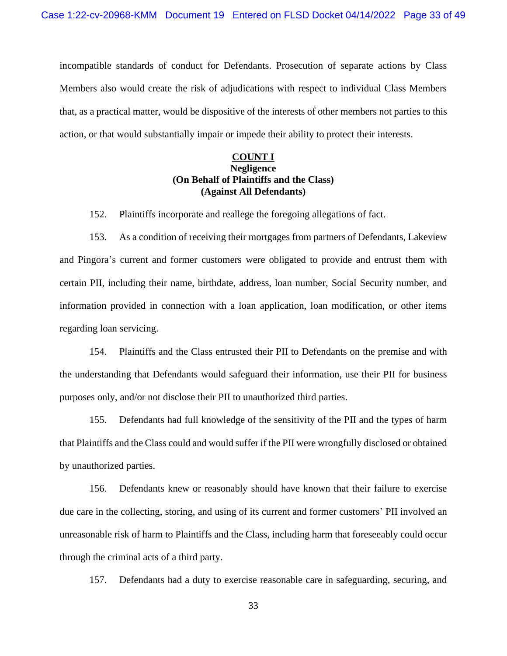incompatible standards of conduct for Defendants. Prosecution of separate actions by Class Members also would create the risk of adjudications with respect to individual Class Members that, as a practical matter, would be dispositive of the interests of other members not parties to this action, or that would substantially impair or impede their ability to protect their interests.

# **COUNT I Negligence (On Behalf of Plaintiffs and the Class) (Against All Defendants)**

152. Plaintiffs incorporate and reallege the foregoing allegations of fact.

153. As a condition of receiving their mortgages from partners of Defendants, Lakeview and Pingora's current and former customers were obligated to provide and entrust them with certain PII, including their name, birthdate, address, loan number, Social Security number, and information provided in connection with a loan application, loan modification, or other items regarding loan servicing.

154. Plaintiffs and the Class entrusted their PII to Defendants on the premise and with the understanding that Defendants would safeguard their information, use their PII for business purposes only, and/or not disclose their PII to unauthorized third parties.

155. Defendants had full knowledge of the sensitivity of the PII and the types of harm that Plaintiffs and the Class could and would suffer if the PII were wrongfully disclosed or obtained by unauthorized parties.

156. Defendants knew or reasonably should have known that their failure to exercise due care in the collecting, storing, and using of its current and former customers' PII involved an unreasonable risk of harm to Plaintiffs and the Class, including harm that foreseeably could occur through the criminal acts of a third party.

157. Defendants had a duty to exercise reasonable care in safeguarding, securing, and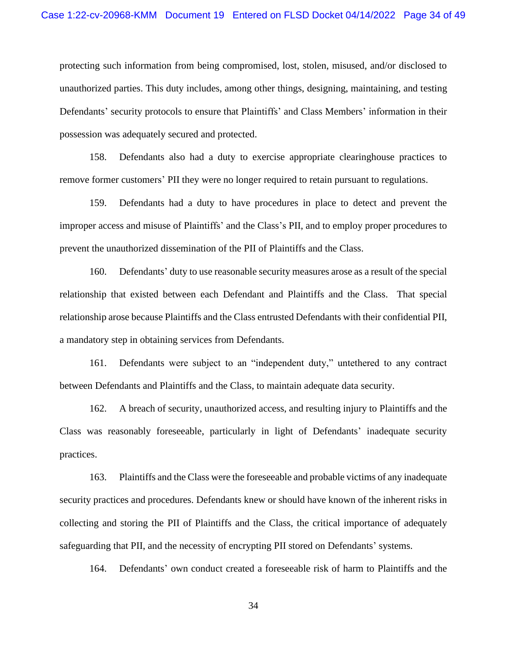protecting such information from being compromised, lost, stolen, misused, and/or disclosed to unauthorized parties. This duty includes, among other things, designing, maintaining, and testing Defendants' security protocols to ensure that Plaintiffs' and Class Members' information in their possession was adequately secured and protected.

158. Defendants also had a duty to exercise appropriate clearinghouse practices to remove former customers' PII they were no longer required to retain pursuant to regulations.

159. Defendants had a duty to have procedures in place to detect and prevent the improper access and misuse of Plaintiffs' and the Class's PII, and to employ proper procedures to prevent the unauthorized dissemination of the PII of Plaintiffs and the Class.

160. Defendants' duty to use reasonable security measures arose as a result of the special relationship that existed between each Defendant and Plaintiffs and the Class. That special relationship arose because Plaintiffs and the Class entrusted Defendants with their confidential PII, a mandatory step in obtaining services from Defendants.

161. Defendants were subject to an "independent duty," untethered to any contract between Defendants and Plaintiffs and the Class, to maintain adequate data security.

162. A breach of security, unauthorized access, and resulting injury to Plaintiffs and the Class was reasonably foreseeable, particularly in light of Defendants' inadequate security practices.

163. Plaintiffs and the Class were the foreseeable and probable victims of any inadequate security practices and procedures. Defendants knew or should have known of the inherent risks in collecting and storing the PII of Plaintiffs and the Class, the critical importance of adequately safeguarding that PII, and the necessity of encrypting PII stored on Defendants' systems.

164. Defendants' own conduct created a foreseeable risk of harm to Plaintiffs and the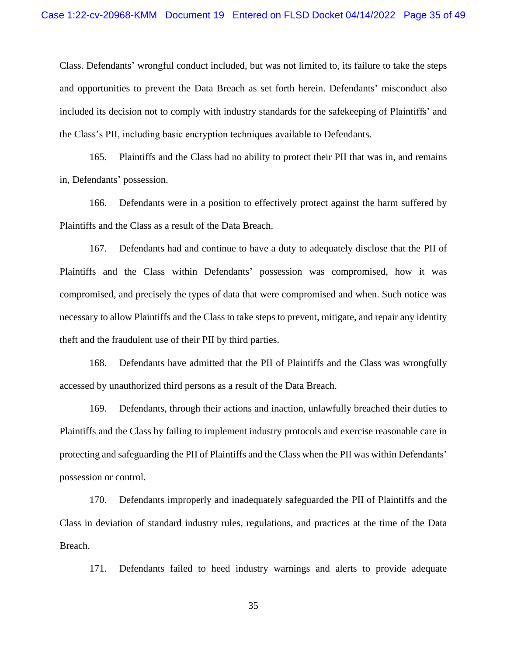Class. Defendants' wrongful conduct included, but was not limited to, its failure to take the steps and opportunities to prevent the Data Breach as set forth herein. Defendants' misconduct also included its decision not to comply with industry standards for the safekeeping of Plaintiffs' and the Class's PII, including basic encryption techniques available to Defendants.

165. Plaintiffs and the Class had no ability to protect their PII that was in, and remains in, Defendants' possession.

166. Defendants were in a position to effectively protect against the harm suffered by Plaintiffs and the Class as a result of the Data Breach.

167. Defendants had and continue to have a duty to adequately disclose that the PII of Plaintiffs and the Class within Defendants' possession was compromised, how it was compromised, and precisely the types of data that were compromised and when. Such notice was necessary to allow Plaintiffs and the Class to take steps to prevent, mitigate, and repair any identity theft and the fraudulent use of their PII by third parties.

168. Defendants have admitted that the PII of Plaintiffs and the Class was wrongfully accessed by unauthorized third persons as a result of the Data Breach.

169. Defendants, through their actions and inaction, unlawfully breached their duties to Plaintiffs and the Class by failing to implement industry protocols and exercise reasonable care in protecting and safeguarding the PII of Plaintiffs and the Class when the PII was within Defendants' possession or control.

170. Defendants improperly and inadequately safeguarded the PII of Plaintiffs and the Class in deviation of standard industry rules, regulations, and practices at the time of the Data Breach.

171. Defendants failed to heed industry warnings and alerts to provide adequate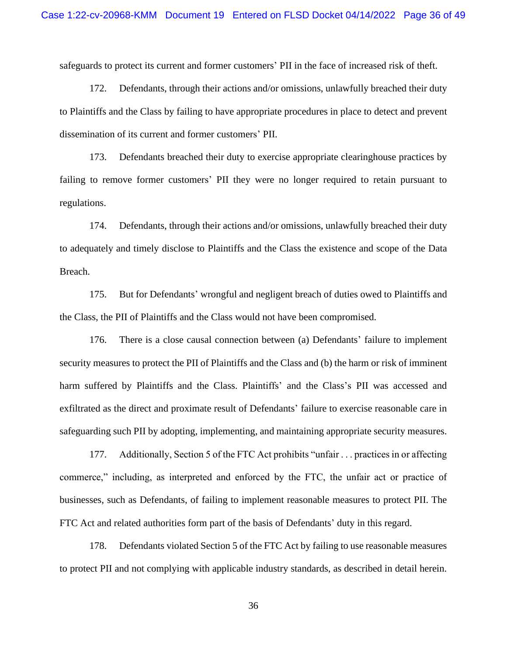safeguards to protect its current and former customers' PII in the face of increased risk of theft.

172. Defendants, through their actions and/or omissions, unlawfully breached their duty to Plaintiffs and the Class by failing to have appropriate procedures in place to detect and prevent dissemination of its current and former customers' PII.

173. Defendants breached their duty to exercise appropriate clearinghouse practices by failing to remove former customers' PII they were no longer required to retain pursuant to regulations.

174. Defendants, through their actions and/or omissions, unlawfully breached their duty to adequately and timely disclose to Plaintiffs and the Class the existence and scope of the Data Breach.

175. But for Defendants' wrongful and negligent breach of duties owed to Plaintiffs and the Class, the PII of Plaintiffs and the Class would not have been compromised.

176. There is a close causal connection between (a) Defendants' failure to implement security measures to protect the PII of Plaintiffs and the Class and (b) the harm or risk of imminent harm suffered by Plaintiffs and the Class. Plaintiffs' and the Class's PII was accessed and exfiltrated as the direct and proximate result of Defendants' failure to exercise reasonable care in safeguarding such PII by adopting, implementing, and maintaining appropriate security measures.

177. Additionally, Section 5 of the FTC Act prohibits "unfair . . . practices in or affecting commerce," including, as interpreted and enforced by the FTC, the unfair act or practice of businesses, such as Defendants, of failing to implement reasonable measures to protect PII. The FTC Act and related authorities form part of the basis of Defendants' duty in this regard.

178. Defendants violated Section 5 of the FTC Act by failing to use reasonable measures to protect PII and not complying with applicable industry standards, as described in detail herein.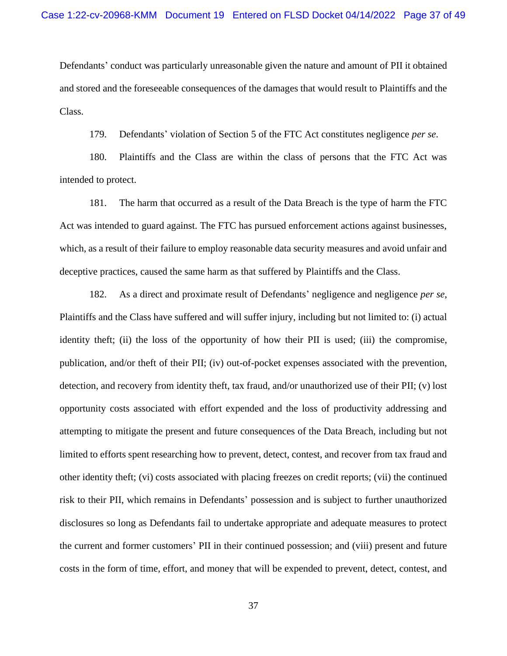Defendants' conduct was particularly unreasonable given the nature and amount of PII it obtained and stored and the foreseeable consequences of the damages that would result to Plaintiffs and the Class.

179. Defendants' violation of Section 5 of the FTC Act constitutes negligence *per se*.

180. Plaintiffs and the Class are within the class of persons that the FTC Act was intended to protect.

181. The harm that occurred as a result of the Data Breach is the type of harm the FTC Act was intended to guard against. The FTC has pursued enforcement actions against businesses, which, as a result of their failure to employ reasonable data security measures and avoid unfair and deceptive practices, caused the same harm as that suffered by Plaintiffs and the Class.

182. As a direct and proximate result of Defendants' negligence and negligence *per se*, Plaintiffs and the Class have suffered and will suffer injury, including but not limited to: (i) actual identity theft; (ii) the loss of the opportunity of how their PII is used; (iii) the compromise, publication, and/or theft of their PII; (iv) out-of-pocket expenses associated with the prevention, detection, and recovery from identity theft, tax fraud, and/or unauthorized use of their PII; (v) lost opportunity costs associated with effort expended and the loss of productivity addressing and attempting to mitigate the present and future consequences of the Data Breach, including but not limited to efforts spent researching how to prevent, detect, contest, and recover from tax fraud and other identity theft; (vi) costs associated with placing freezes on credit reports; (vii) the continued risk to their PII, which remains in Defendants' possession and is subject to further unauthorized disclosures so long as Defendants fail to undertake appropriate and adequate measures to protect the current and former customers' PII in their continued possession; and (viii) present and future costs in the form of time, effort, and money that will be expended to prevent, detect, contest, and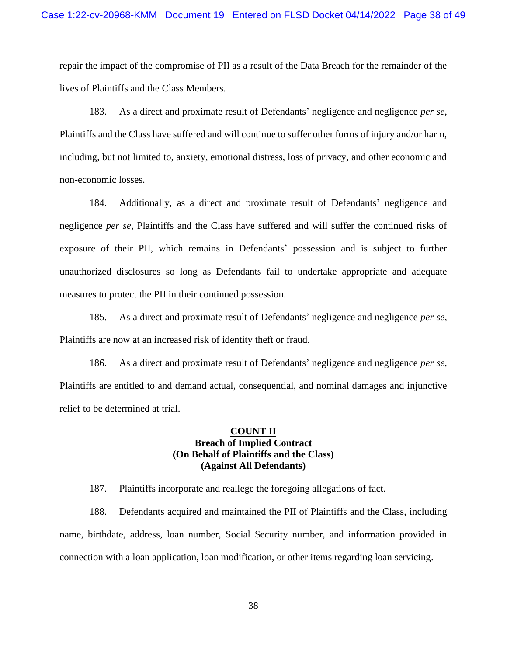repair the impact of the compromise of PII as a result of the Data Breach for the remainder of the lives of Plaintiffs and the Class Members.

183. As a direct and proximate result of Defendants' negligence and negligence *per se*, Plaintiffs and the Class have suffered and will continue to suffer other forms of injury and/or harm, including, but not limited to, anxiety, emotional distress, loss of privacy, and other economic and non-economic losses.

184. Additionally, as a direct and proximate result of Defendants' negligence and negligence *per se*, Plaintiffs and the Class have suffered and will suffer the continued risks of exposure of their PII, which remains in Defendants' possession and is subject to further unauthorized disclosures so long as Defendants fail to undertake appropriate and adequate measures to protect the PII in their continued possession.

185. As a direct and proximate result of Defendants' negligence and negligence *per se*, Plaintiffs are now at an increased risk of identity theft or fraud.

186. As a direct and proximate result of Defendants' negligence and negligence *per se*, Plaintiffs are entitled to and demand actual, consequential, and nominal damages and injunctive relief to be determined at trial.

# **COUNT II Breach of Implied Contract (On Behalf of Plaintiffs and the Class) (Against All Defendants)**

187. Plaintiffs incorporate and reallege the foregoing allegations of fact.

188. Defendants acquired and maintained the PII of Plaintiffs and the Class, including name, birthdate, address, loan number, Social Security number, and information provided in connection with a loan application, loan modification, or other items regarding loan servicing.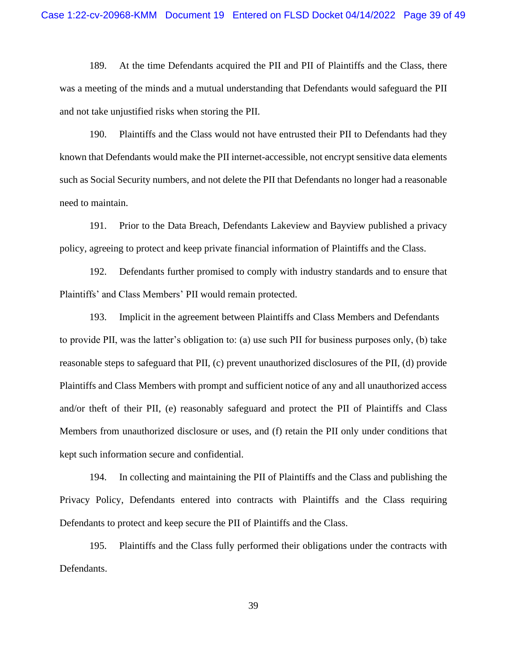189. At the time Defendants acquired the PII and PII of Plaintiffs and the Class, there was a meeting of the minds and a mutual understanding that Defendants would safeguard the PII and not take unjustified risks when storing the PII.

190. Plaintiffs and the Class would not have entrusted their PII to Defendants had they known that Defendants would make the PII internet-accessible, not encrypt sensitive data elements such as Social Security numbers, and not delete the PII that Defendants no longer had a reasonable need to maintain.

191. Prior to the Data Breach, Defendants Lakeview and Bayview published a privacy policy, agreeing to protect and keep private financial information of Plaintiffs and the Class.

192. Defendants further promised to comply with industry standards and to ensure that Plaintiffs' and Class Members' PII would remain protected.

193. Implicit in the agreement between Plaintiffs and Class Members and Defendants to provide PII, was the latter's obligation to: (a) use such PII for business purposes only, (b) take reasonable steps to safeguard that PII, (c) prevent unauthorized disclosures of the PII, (d) provide Plaintiffs and Class Members with prompt and sufficient notice of any and all unauthorized access and/or theft of their PII, (e) reasonably safeguard and protect the PII of Plaintiffs and Class Members from unauthorized disclosure or uses, and (f) retain the PII only under conditions that kept such information secure and confidential.

194. In collecting and maintaining the PII of Plaintiffs and the Class and publishing the Privacy Policy, Defendants entered into contracts with Plaintiffs and the Class requiring Defendants to protect and keep secure the PII of Plaintiffs and the Class.

195. Plaintiffs and the Class fully performed their obligations under the contracts with Defendants.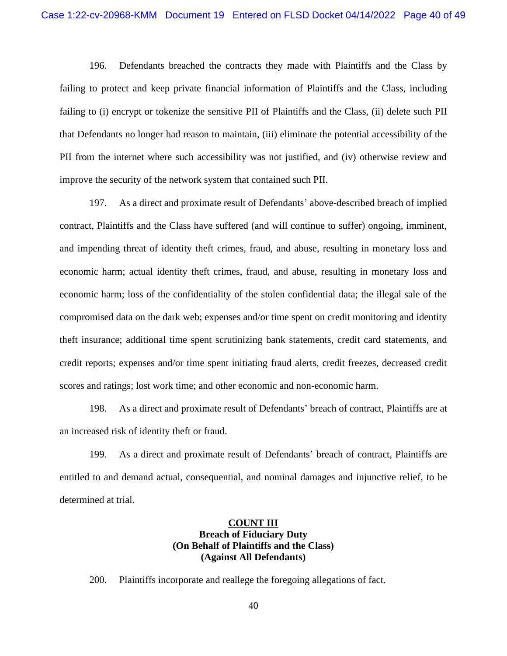196. Defendants breached the contracts they made with Plaintiffs and the Class by failing to protect and keep private financial information of Plaintiffs and the Class, including failing to (i) encrypt or tokenize the sensitive PII of Plaintiffs and the Class, (ii) delete such PII that Defendants no longer had reason to maintain, (iii) eliminate the potential accessibility of the PII from the internet where such accessibility was not justified, and (iv) otherwise review and improve the security of the network system that contained such PII.

197. As a direct and proximate result of Defendants' above-described breach of implied contract, Plaintiffs and the Class have suffered (and will continue to suffer) ongoing, imminent, and impending threat of identity theft crimes, fraud, and abuse, resulting in monetary loss and economic harm; actual identity theft crimes, fraud, and abuse, resulting in monetary loss and economic harm; loss of the confidentiality of the stolen confidential data; the illegal sale of the compromised data on the dark web; expenses and/or time spent on credit monitoring and identity theft insurance; additional time spent scrutinizing bank statements, credit card statements, and credit reports; expenses and/or time spent initiating fraud alerts, credit freezes, decreased credit scores and ratings; lost work time; and other economic and non-economic harm.

198. As a direct and proximate result of Defendants' breach of contract, Plaintiffs are at an increased risk of identity theft or fraud.

199. As a direct and proximate result of Defendants' breach of contract, Plaintiffs are entitled to and demand actual, consequential, and nominal damages and injunctive relief, to be determined at trial.

# **COUNT III Breach of Fiduciary Duty (On Behalf of Plaintiffs and the Class) (Against All Defendants)**

200. Plaintiffs incorporate and reallege the foregoing allegations of fact.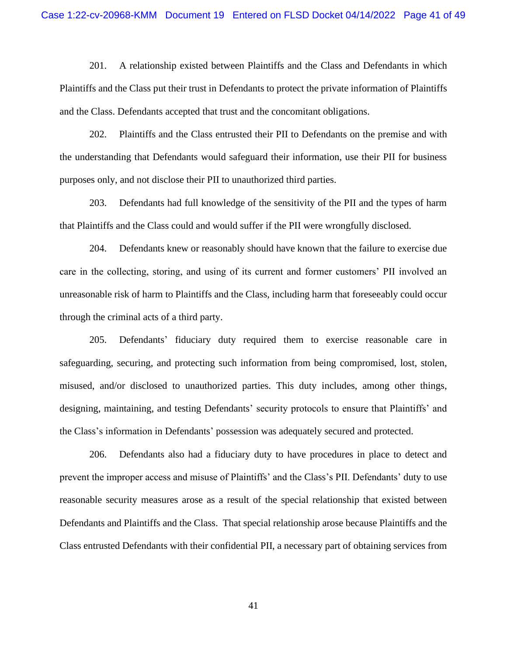201. A relationship existed between Plaintiffs and the Class and Defendants in which Plaintiffs and the Class put their trust in Defendants to protect the private information of Plaintiffs and the Class. Defendants accepted that trust and the concomitant obligations.

202. Plaintiffs and the Class entrusted their PII to Defendants on the premise and with the understanding that Defendants would safeguard their information, use their PII for business purposes only, and not disclose their PII to unauthorized third parties.

203. Defendants had full knowledge of the sensitivity of the PII and the types of harm that Plaintiffs and the Class could and would suffer if the PII were wrongfully disclosed.

204. Defendants knew or reasonably should have known that the failure to exercise due care in the collecting, storing, and using of its current and former customers' PII involved an unreasonable risk of harm to Plaintiffs and the Class, including harm that foreseeably could occur through the criminal acts of a third party.

205. Defendants' fiduciary duty required them to exercise reasonable care in safeguarding, securing, and protecting such information from being compromised, lost, stolen, misused, and/or disclosed to unauthorized parties. This duty includes, among other things, designing, maintaining, and testing Defendants' security protocols to ensure that Plaintiffs' and the Class's information in Defendants' possession was adequately secured and protected.

206. Defendants also had a fiduciary duty to have procedures in place to detect and prevent the improper access and misuse of Plaintiffs' and the Class's PII. Defendants' duty to use reasonable security measures arose as a result of the special relationship that existed between Defendants and Plaintiffs and the Class. That special relationship arose because Plaintiffs and the Class entrusted Defendants with their confidential PII, a necessary part of obtaining services from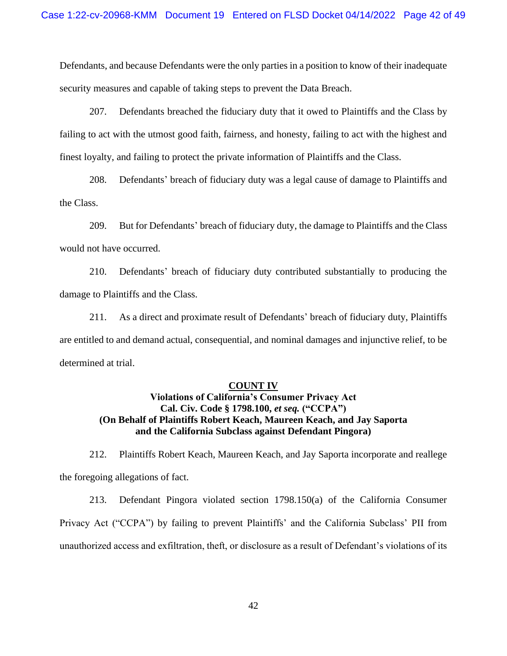Defendants, and because Defendants were the only parties in a position to know of their inadequate security measures and capable of taking steps to prevent the Data Breach.

207. Defendants breached the fiduciary duty that it owed to Plaintiffs and the Class by failing to act with the utmost good faith, fairness, and honesty, failing to act with the highest and finest loyalty, and failing to protect the private information of Plaintiffs and the Class.

208. Defendants' breach of fiduciary duty was a legal cause of damage to Plaintiffs and the Class.

209. But for Defendants' breach of fiduciary duty, the damage to Plaintiffs and the Class would not have occurred.

210. Defendants' breach of fiduciary duty contributed substantially to producing the damage to Plaintiffs and the Class.

211. As a direct and proximate result of Defendants' breach of fiduciary duty, Plaintiffs are entitled to and demand actual, consequential, and nominal damages and injunctive relief, to be determined at trial.

#### **COUNT IV**

# **Violations of California's Consumer Privacy Act Cal. Civ. Code § 1798.100,** *et seq.* **("CCPA") (On Behalf of Plaintiffs Robert Keach, Maureen Keach, and Jay Saporta and the California Subclass against Defendant Pingora)**

212. Plaintiffs Robert Keach, Maureen Keach, and Jay Saporta incorporate and reallege the foregoing allegations of fact.

213. Defendant Pingora violated section 1798.150(a) of the California Consumer Privacy Act ("CCPA") by failing to prevent Plaintiffs' and the California Subclass' PII from unauthorized access and exfiltration, theft, or disclosure as a result of Defendant's violations of its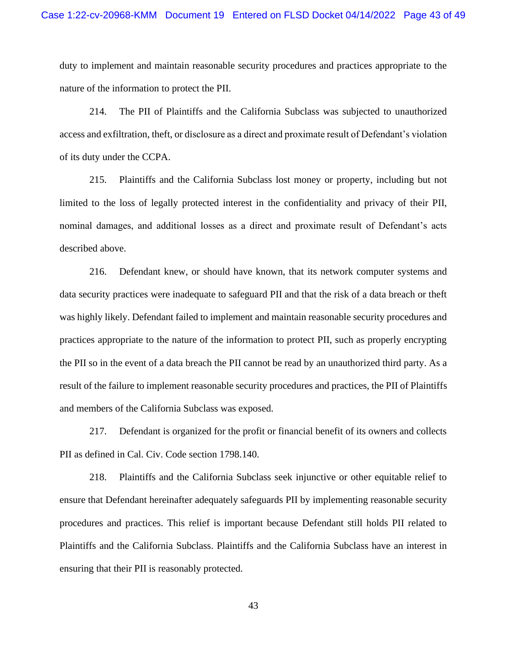duty to implement and maintain reasonable security procedures and practices appropriate to the nature of the information to protect the PII.

214. The PII of Plaintiffs and the California Subclass was subjected to unauthorized access and exfiltration, theft, or disclosure as a direct and proximate result of Defendant's violation of its duty under the CCPA.

215. Plaintiffs and the California Subclass lost money or property, including but not limited to the loss of legally protected interest in the confidentiality and privacy of their PII, nominal damages, and additional losses as a direct and proximate result of Defendant's acts described above.

216. Defendant knew, or should have known, that its network computer systems and data security practices were inadequate to safeguard PII and that the risk of a data breach or theft was highly likely. Defendant failed to implement and maintain reasonable security procedures and practices appropriate to the nature of the information to protect PII, such as properly encrypting the PII so in the event of a data breach the PII cannot be read by an unauthorized third party. As a result of the failure to implement reasonable security procedures and practices, the PII of Plaintiffs and members of the California Subclass was exposed.

217. Defendant is organized for the profit or financial benefit of its owners and collects PII as defined in Cal. Civ. Code section 1798.140.

218. Plaintiffs and the California Subclass seek injunctive or other equitable relief to ensure that Defendant hereinafter adequately safeguards PII by implementing reasonable security procedures and practices. This relief is important because Defendant still holds PII related to Plaintiffs and the California Subclass. Plaintiffs and the California Subclass have an interest in ensuring that their PII is reasonably protected.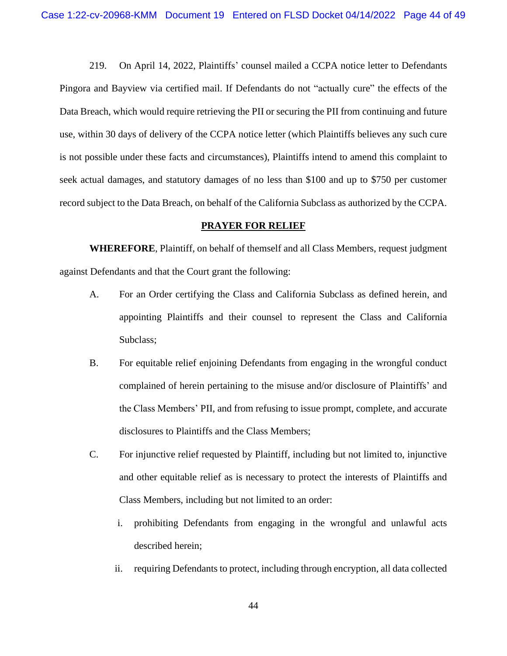219. On April 14, 2022, Plaintiffs' counsel mailed a CCPA notice letter to Defendants Pingora and Bayview via certified mail. If Defendants do not "actually cure" the effects of the Data Breach, which would require retrieving the PII or securing the PII from continuing and future use, within 30 days of delivery of the CCPA notice letter (which Plaintiffs believes any such cure is not possible under these facts and circumstances), Plaintiffs intend to amend this complaint to seek actual damages, and statutory damages of no less than \$100 and up to \$750 per customer record subject to the Data Breach, on behalf of the California Subclass as authorized by the CCPA.

## **PRAYER FOR RELIEF**

**WHEREFORE**, Plaintiff, on behalf of themself and all Class Members, request judgment against Defendants and that the Court grant the following:

- A. For an Order certifying the Class and California Subclass as defined herein, and appointing Plaintiffs and their counsel to represent the Class and California Subclass;
- B. For equitable relief enjoining Defendants from engaging in the wrongful conduct complained of herein pertaining to the misuse and/or disclosure of Plaintiffs' and the Class Members' PII, and from refusing to issue prompt, complete, and accurate disclosures to Plaintiffs and the Class Members;
- C. For injunctive relief requested by Plaintiff, including but not limited to, injunctive and other equitable relief as is necessary to protect the interests of Plaintiffs and Class Members, including but not limited to an order:
	- i. prohibiting Defendants from engaging in the wrongful and unlawful acts described herein;
	- ii. requiring Defendants to protect, including through encryption, all data collected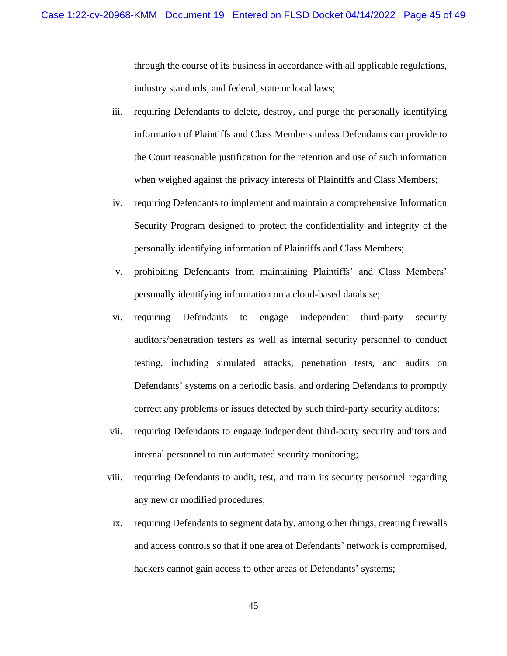through the course of its business in accordance with all applicable regulations, industry standards, and federal, state or local laws;

- iii. requiring Defendants to delete, destroy, and purge the personally identifying information of Plaintiffs and Class Members unless Defendants can provide to the Court reasonable justification for the retention and use of such information when weighed against the privacy interests of Plaintiffs and Class Members;
- iv. requiring Defendants to implement and maintain a comprehensive Information Security Program designed to protect the confidentiality and integrity of the personally identifying information of Plaintiffs and Class Members;
- v. prohibiting Defendants from maintaining Plaintiffs' and Class Members' personally identifying information on a cloud-based database;
- vi. requiring Defendants to engage independent third-party security auditors/penetration testers as well as internal security personnel to conduct testing, including simulated attacks, penetration tests, and audits on Defendants' systems on a periodic basis, and ordering Defendants to promptly correct any problems or issues detected by such third-party security auditors;
- vii. requiring Defendants to engage independent third-party security auditors and internal personnel to run automated security monitoring;
- viii. requiring Defendants to audit, test, and train its security personnel regarding any new or modified procedures;
- ix. requiring Defendants to segment data by, among other things, creating firewalls and access controls so that if one area of Defendants' network is compromised, hackers cannot gain access to other areas of Defendants' systems;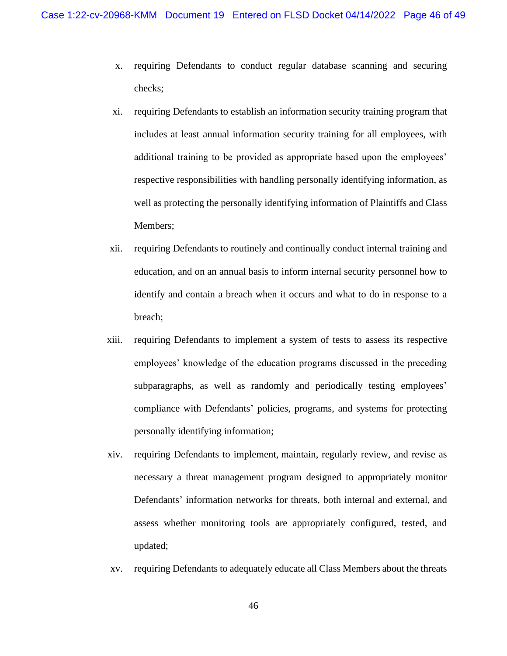- x. requiring Defendants to conduct regular database scanning and securing checks;
- xi. requiring Defendants to establish an information security training program that includes at least annual information security training for all employees, with additional training to be provided as appropriate based upon the employees' respective responsibilities with handling personally identifying information, as well as protecting the personally identifying information of Plaintiffs and Class Members;
- xii. requiring Defendants to routinely and continually conduct internal training and education, and on an annual basis to inform internal security personnel how to identify and contain a breach when it occurs and what to do in response to a breach;
- xiii. requiring Defendants to implement a system of tests to assess its respective employees' knowledge of the education programs discussed in the preceding subparagraphs, as well as randomly and periodically testing employees' compliance with Defendants' policies, programs, and systems for protecting personally identifying information;
- xiv. requiring Defendants to implement, maintain, regularly review, and revise as necessary a threat management program designed to appropriately monitor Defendants' information networks for threats, both internal and external, and assess whether monitoring tools are appropriately configured, tested, and updated;
- xv. requiring Defendants to adequately educate all Class Members about the threats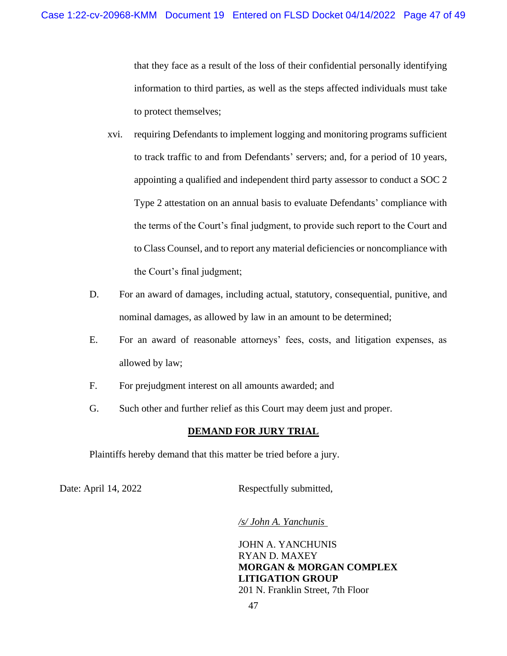that they face as a result of the loss of their confidential personally identifying information to third parties, as well as the steps affected individuals must take to protect themselves;

- xvi. requiring Defendants to implement logging and monitoring programs sufficient to track traffic to and from Defendants' servers; and, for a period of 10 years, appointing a qualified and independent third party assessor to conduct a SOC 2 Type 2 attestation on an annual basis to evaluate Defendants' compliance with the terms of the Court's final judgment, to provide such report to the Court and to Class Counsel, and to report any material deficiencies or noncompliance with the Court's final judgment;
- D. For an award of damages, including actual, statutory, consequential, punitive, and nominal damages, as allowed by law in an amount to be determined;
- E. For an award of reasonable attorneys' fees, costs, and litigation expenses, as allowed by law;
- F. For prejudgment interest on all amounts awarded; and
- G. Such other and further relief as this Court may deem just and proper.

## **DEMAND FOR JURY TRIAL**

Plaintiffs hereby demand that this matter be tried before a jury.

Date: April 14, 2022 Respectfully submitted,

*/s/ John A. Yanchunis* 

JOHN A. YANCHUNIS RYAN D. MAXEY **MORGAN & MORGAN COMPLEX LITIGATION GROUP**  201 N. Franklin Street, 7th Floor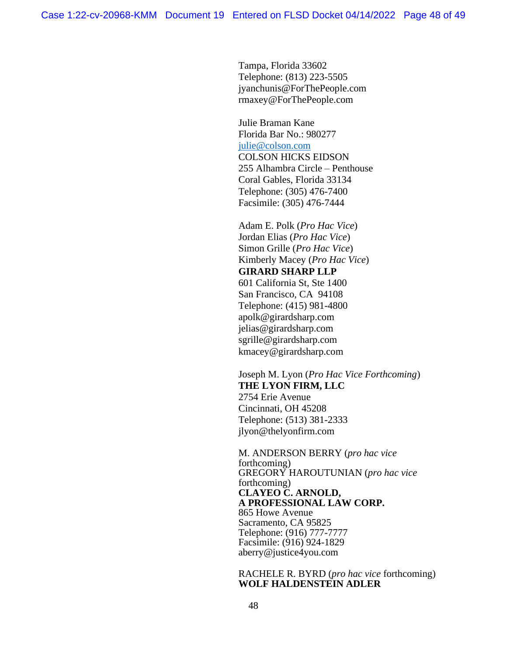Tampa, Florida 33602 Telephone: (813) 223-5505 jyanchunis@ForThePeople.com rmaxey@ForThePeople.com

Julie Braman Kane Florida Bar No.: 980277 [julie@colson.com](mailto:julie@colson.com) COLSON HICKS EIDSON 255 Alhambra Circle – Penthouse Coral Gables, Florida 33134 Telephone: (305) 476-7400 Facsimile: (305) 476-7444

Adam E. Polk (*Pro Hac Vice*) Jordan Elias (*Pro Hac Vice*) Simon Grille (*Pro Hac Vice*) Kimberly Macey (*Pro Hac Vice*) **GIRARD SHARP LLP** 601 California St, Ste 1400 San Francisco, CA 94108 Telephone: (415) 981-4800 apolk@girardsharp.com jelias@girardsharp.com sgrille@girardsharp.com kmacey@girardsharp.com

Joseph M. Lyon (*Pro Hac Vice Forthcoming*) **THE LYON FIRM, LLC** 2754 Erie Avenue Cincinnati, OH 45208 Telephone: (513) 381-2333 jlyon@thelyonfirm.com

M. ANDERSON BERRY (*pro hac vice* forthcoming) GREGORY HAROUTUNIAN (*pro hac vice*  forthcoming) **CLAYEO C. ARNOLD, A PROFESSIONAL LAW CORP.** 865 Howe Avenue Sacramento, CA 95825 Telephone: (916) 777-7777 Facsimile: (916) 924-1829 aberry@justice4you.com

### RACHELE R. BYRD (*pro hac vice* forthcoming) **WOLF HALDENSTEIN ADLER**